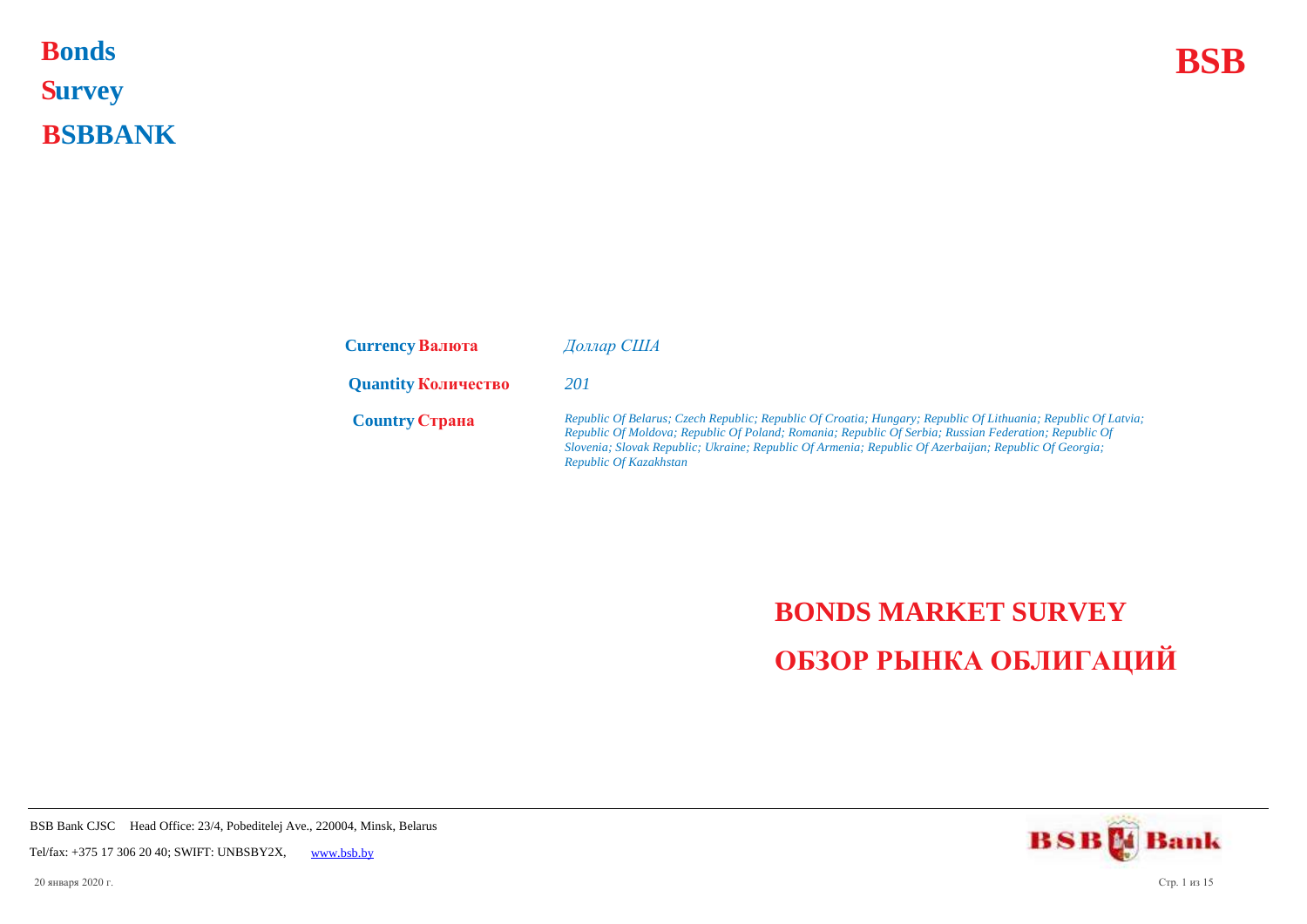**Bonds BSB S urvey B SBBANK Bonds** 

| <b>Currency Валюта</b>     | Доллар США                                                                                                                                                                                                                                                                                                                                                |
|----------------------------|-----------------------------------------------------------------------------------------------------------------------------------------------------------------------------------------------------------------------------------------------------------------------------------------------------------------------------------------------------------|
| <b>Quantity Количество</b> | 201                                                                                                                                                                                                                                                                                                                                                       |
| <b>Country Crpaha</b>      | Republic Of Belarus; Czech Republic; Republic Of Croatia; Hungary; Republic Of Lithuania; Republic Of Latvia;<br>Republic Of Moldova; Republic Of Poland; Romania; Republic Of Serbia; Russian Federation; Republic Of<br>Slovenia; Slovak Republic; Ukraine; Republic Of Armenia; Republic Of Azerbaijan; Republic Of Georgia;<br>Republic Of Kazakhstan |

## **BONDS MARKET SURVEY ОБЗОР РЫНКА ОБЛИГАЦИЙ**

**BSBM** Bank

BSB Bank CJSC Head Office: 23/4, Pobeditelej Ave., 220004, Minsk, Belarus

Tel/fax: +375 17 306 20 40; SWIFT: UNBSBY2X, [www.bsb.by](https://www.bsb.by/)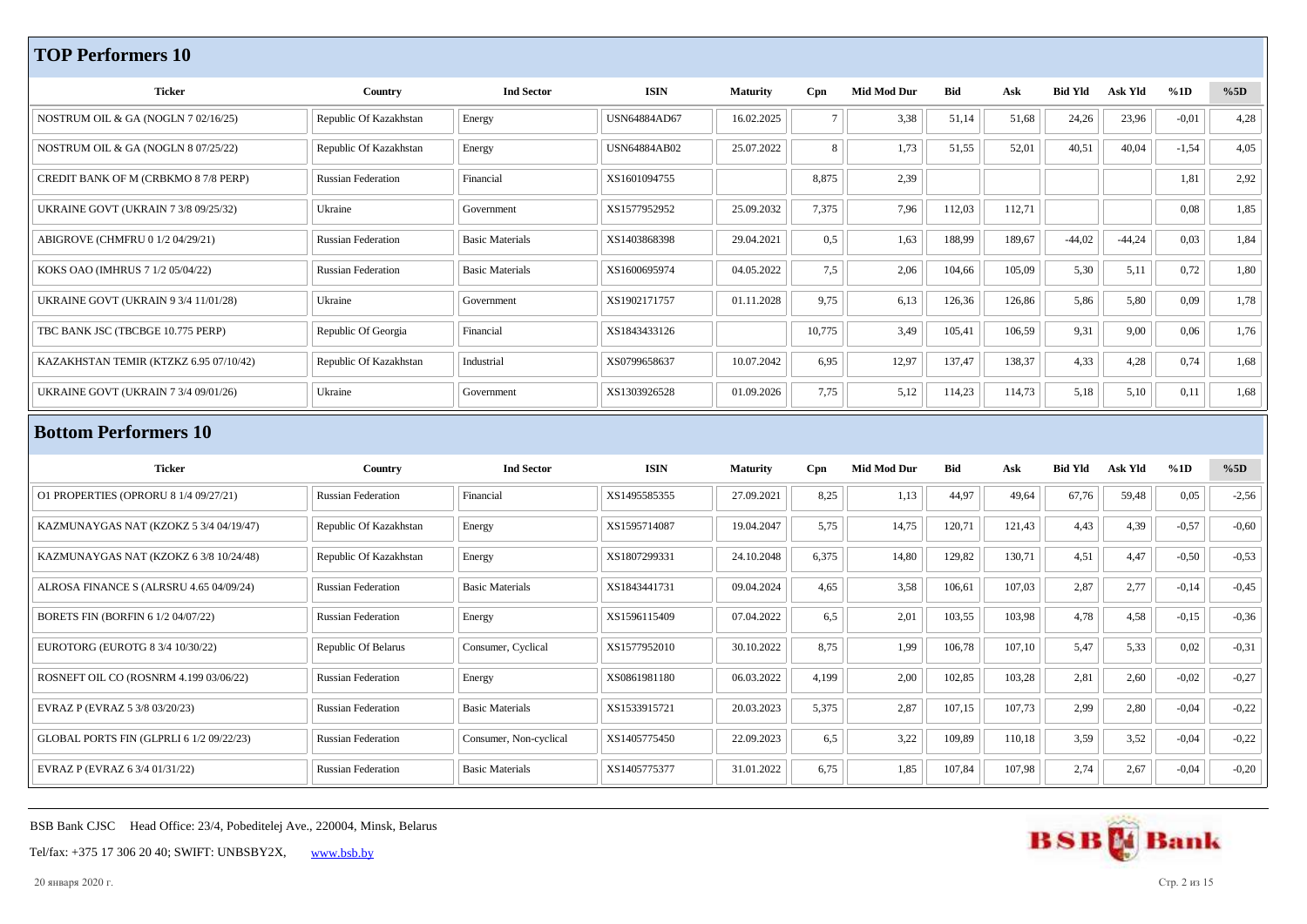## **TOP Performers 10**

| <b>Ticker</b>                               | Country                   | <b>Ind Sector</b>      | <b>ISIN</b>         | <b>Maturity</b> | Cpn    | <b>Mid Mod Dur</b> | Bid        | Ask    | <b>Bid Yld</b> | <b>Ask Yld</b> | %1D     | %5D     |
|---------------------------------------------|---------------------------|------------------------|---------------------|-----------------|--------|--------------------|------------|--------|----------------|----------------|---------|---------|
| NOSTRUM OIL & GA (NOGLN 7 02/16/25)         | Republic Of Kazakhstan    | Energy                 | USN64884AD67        | 16.02.2025      | $\tau$ | 3,38               | 51,14      | 51,68  | 24,26          | 23,96          | $-0,01$ | 4,28    |
|                                             |                           |                        |                     |                 |        |                    |            |        |                |                |         |         |
| NOSTRUM OIL & GA (NOGLN 8 07/25/22)         | Republic Of Kazakhstan    | Energy                 | <b>USN64884AB02</b> | 25.07.2022      | 8      | 1,73               | 51,55      | 52,01  | 40,51          | 40,04          | $-1,54$ | 4,05    |
| CREDIT BANK OF M (CRBKMO 8 7/8 PERP)        | <b>Russian Federation</b> | Financial              | XS1601094755        |                 | 8,875  | 2,39               |            |        |                |                | 1,81    | 2,92    |
| UKRAINE GOVT (UKRAIN 7 3/8 09/25/32)        | Ukraine                   | Government             | XS1577952952        | 25.09.2032      | 7,375  | 7,96               | 112,03     | 112,71 |                |                | 0,08    | 1,85    |
| ABIGROVE (CHMFRU 0 1/2 04/29/21)            | <b>Russian Federation</b> | <b>Basic Materials</b> | XS1403868398        | 29.04.2021      | 0,5    | 1,63               | 188,99     | 189,67 | $-44,02$       | $-44,24$       | 0,03    | 1,84    |
| KOKS OAO (IMHRUS 7 1/2 05/04/22)            | <b>Russian Federation</b> | <b>Basic Materials</b> | XS1600695974        | 04.05.2022      | 7,5    | 2,06               | 104,66     | 105,09 | 5,30           | 5,11           | 0,72    | 1,80    |
| <b>UKRAINE GOVT (UKRAIN 9 3/4 11/01/28)</b> | Ukraine                   | Government             | XS1902171757        | 01.11.2028      | 9,75   | 6,13               | 126,36     | 126,86 | 5,86           | 5,80           | 0,09    | 1,78    |
| TBC BANK JSC (TBCBGE 10.775 PERP)           | Republic Of Georgia       | Financial              | XS1843433126        |                 | 10,775 | 3,49               | 105,41     | 106,59 | 9,31           | 9,00           | 0,06    | 1,76    |
| KAZAKHSTAN TEMIR (KTZKZ 6.95 07/10/42)      | Republic Of Kazakhstan    | Industrial             | XS0799658637        | 10.07.2042      | 6,95   | 12,97              | 137,47     | 138,37 | 4,33           | 4,28           | 0,74    | 1,68    |
| UKRAINE GOVT (UKRAIN 7 3/4 09/01/26)        | Ukraine                   | Government             | XS1303926528        | 01.09.2026      | 7,75   | 5,12               | 114,23     | 114,73 | 5,18           | 5,10           | 0,11    | 1,68    |
| <b>Bottom Performers 10</b>                 |                           |                        |                     |                 |        |                    |            |        |                |                |         |         |
|                                             |                           |                        |                     |                 |        |                    |            |        |                |                |         |         |
|                                             |                           |                        |                     |                 |        |                    |            |        |                |                |         |         |
| <b>Ticker</b>                               | Country                   | <b>Ind Sector</b>      | <b>ISIN</b>         | <b>Maturity</b> | Cpn    | <b>Mid Mod Dur</b> | <b>Bid</b> | Ask    | <b>Bid Yld</b> | Ask Yld        | %1D     | %5D     |
| O1 PROPERTIES (OPRORU 8 1/4 09/27/21)       | <b>Russian Federation</b> | Financial              | XS1495585355        | 27.09.2021      | 8,25   | 1,13               | 44,97      | 49,64  | 67,76          | 59,48          | 0,05    | $-2,56$ |
| KAZMUNAYGAS NAT (KZOKZ 5 3/4 04/19/47)      | Republic Of Kazakhstan    | Energy                 | XS1595714087        | 19.04.2047      | 5,75   | 14,75              | 120,71     | 121,43 | 4,43           | 4,39           | $-0,57$ | $-0,60$ |
| KAZMUNAYGAS NAT (KZOKZ 6 3/8 10/24/48)      | Republic Of Kazakhstan    | Energy                 | XS1807299331        | 24.10.2048      | 6,375  | 14,80              | 129,82     | 130,71 | 4,51           | 4,47           | $-0,50$ | $-0,53$ |
| ALROSA FINANCE S (ALRSRU 4.65 04/09/24)     | <b>Russian Federation</b> | <b>Basic Materials</b> | XS1843441731        | 09.04.2024      | 4,65   | 3,58               | 106,61     | 107,03 | 2,87           | 2,77           | $-0,14$ | $-0,45$ |
| BORETS FIN (BORFIN 6 1/2 04/07/22)          | <b>Russian Federation</b> | Energy                 | XS1596115409        | 07.04.2022      | 6,5    | 2,01               | 103,55     | 103,98 | 4,78           | 4,58           | $-0,15$ | $-0,36$ |
| EUROTORG (EUROTG 8 3/4 10/30/22)            | Republic Of Belarus       | Consumer, Cyclical     | XS1577952010        | 30.10.2022      | 8,75   | 1,99               | 106,78     | 107,10 | 5,47           | 5,33           | 0,02    | $-0,31$ |
| ROSNEFT OIL CO (ROSNRM 4.199 03/06/22)      | <b>Russian Federation</b> | Energy                 | XS0861981180        | 06.03.2022      | 4,199  | 2,00               | 102,85     | 103,28 | 2,81           | 2,60           | $-0,02$ | $-0,27$ |
| EVRAZ P (EVRAZ 5 3/8 03/20/23)              | <b>Russian Federation</b> | <b>Basic Materials</b> | XS1533915721        | 20.03.2023      | 5,375  | 2,87               | 107,15     | 107,73 | 2,99           | 2,80           | $-0,04$ | $-0,22$ |
| GLOBAL PORTS FIN (GLPRLI 6 1/2 09/22/23)    | <b>Russian Federation</b> | Consumer, Non-cyclical | XS1405775450        | 22.09.2023      | 6,5    | 3,22               | 109,89     | 110,18 | 3,59           | 3,52           | $-0,04$ | $-0,22$ |

BSB Bank CJSC Head Office: 23/4, Pobeditelej Ave., 220004, Minsk, Belarus





20 января 2020 г. Стр. 2 из 15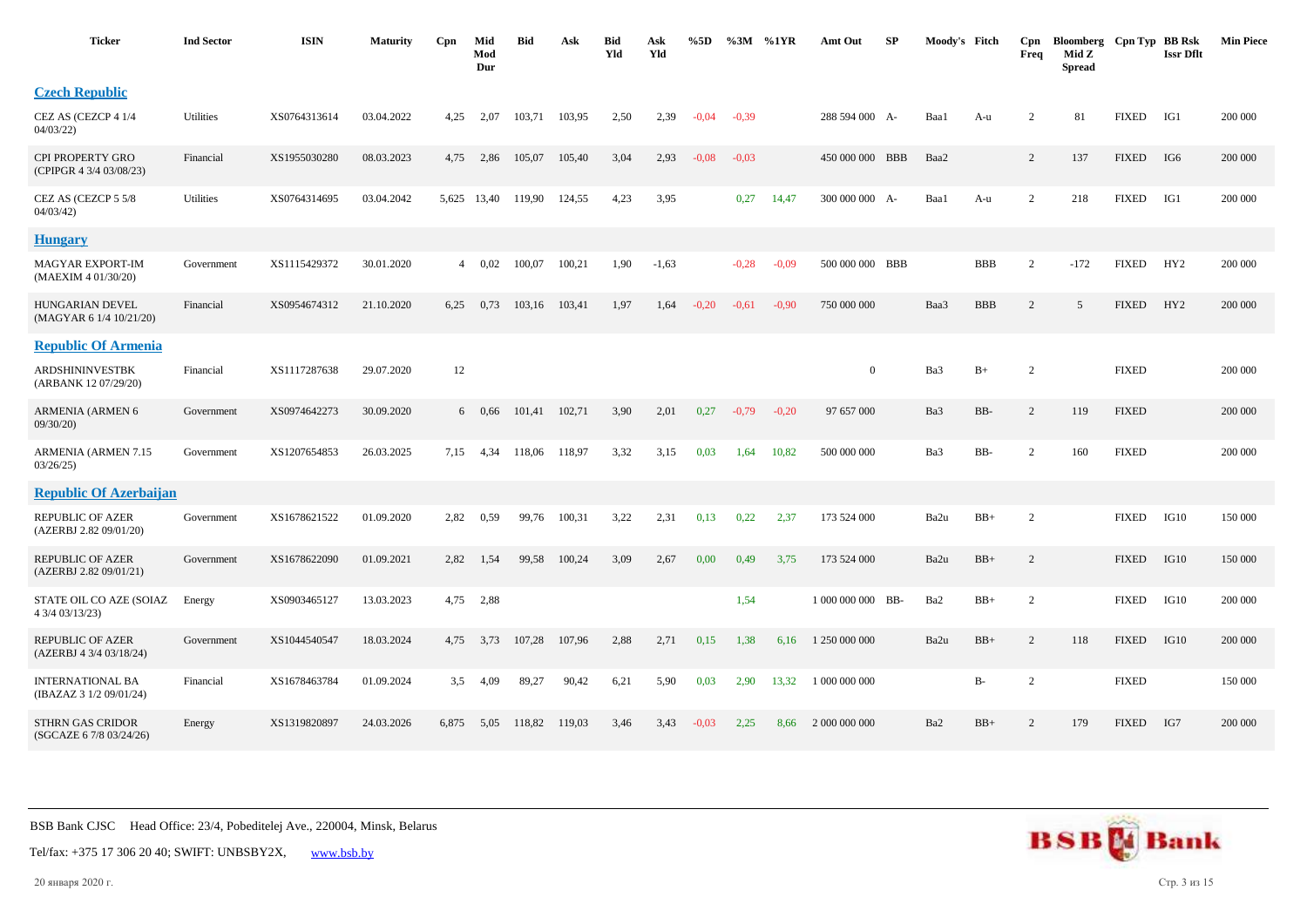| <b>Ticker</b>                                      | <b>Ind Sector</b> | <b>ISIN</b>  | <b>Maturity</b> | Cpn   | Mid<br>Mod<br>Dur | <b>Bid</b> | Ask    | <b>Bid</b><br>Yld | Ask<br>Yld | %5D     | %3M     | %1YR    | Amt Out           | SP | Moody's Fitch |            | Cpn<br>Freq    | Bloomberg Cpn Typ BB Rsk<br>Mid Z<br><b>Spread</b> |              | <b>Issr Dflt</b> | <b>Min Piece</b> |
|----------------------------------------------------|-------------------|--------------|-----------------|-------|-------------------|------------|--------|-------------------|------------|---------|---------|---------|-------------------|----|---------------|------------|----------------|----------------------------------------------------|--------------|------------------|------------------|
| <b>Czech Republic</b>                              |                   |              |                 |       |                   |            |        |                   |            |         |         |         |                   |    |               |            |                |                                                    |              |                  |                  |
| CEZ AS (CEZCP 4 1/4<br>04/03/22                    | <b>Utilities</b>  | XS0764313614 | 03.04.2022      | 4,25  | 2.07              | 103.71     | 103.95 | 2,50              | 2,39       | $-0.04$ | $-0.39$ |         | 288 594 000 A-    |    | Baa1          | A-u        | 2              | 81                                                 | <b>FIXED</b> | IG1              | 200 000          |
| CPI PROPERTY GRO<br>(CPIPGR 4 3/4 03/08/23)        | Financial         | XS1955030280 | 08.03.2023      | 4,75  | 2,86              | 105,07     | 105,40 | 3,04              | 2,93       | $-0.08$ | $-0,03$ |         | 450 000 000 BBB   |    | Baa2          |            | 2              | 137                                                | <b>FIXED</b> | IG6              | 200 000          |
| CEZ AS (CEZCP 5 5/8<br>04/03/42                    | Utilities         | XS0764314695 | 03.04.2042      |       | 5,625 13,40       | 119,90     | 124,55 | 4,23              | 3,95       |         | 0,27    | 14,47   | 300 000 000 A-    |    | Baa1          | A-u        | 2              | 218                                                | <b>FIXED</b> | IG1              | 200 000          |
| <b>Hungary</b>                                     |                   |              |                 |       |                   |            |        |                   |            |         |         |         |                   |    |               |            |                |                                                    |              |                  |                  |
| <b>MAGYAR EXPORT-IM</b><br>(MAEXIM 4 01/30/20)     | Government        | XS1115429372 | 30.01.2020      |       | $4\quad 0.02$     | 100,07     | 100,21 | 1,90              | $-1,63$    |         | $-0,28$ | $-0.09$ | 500 000 000 BBB   |    |               | <b>BBB</b> | 2              | $-172$                                             | <b>FIXED</b> | HY <sub>2</sub>  | 200 000          |
| <b>HUNGARIAN DEVEL</b><br>(MAGYAR 6 1/4 10/21/20)  | Financial         | XS0954674312 | 21.10.2020      | 6,25  | 0,73              | 103,16     | 103,41 | 1,97              | 1,64       | $-0,20$ | $-0.61$ | $-0.90$ | 750 000 000       |    | Baa3          | <b>BBB</b> | $\overline{c}$ | 5                                                  | <b>FIXED</b> | HY <sub>2</sub>  | 200 000          |
| <b>Republic Of Armenia</b>                         |                   |              |                 |       |                   |            |        |                   |            |         |         |         |                   |    |               |            |                |                                                    |              |                  |                  |
| ARDSHININVESTBK<br>(ARBANK 12 07/29/20)            | Financial         | XS1117287638 | 29.07.2020      | 12    |                   |            |        |                   |            |         |         |         | $\overline{0}$    |    | Ba3           | $B+$       | $\overline{2}$ |                                                    | <b>FIXED</b> |                  | 200 000          |
| ARMENIA (ARMEN 6<br>09/30/20                       | Government        | XS0974642273 | 30.09.2020      |       | $6\quad 0.66$     | 101,41     | 102,71 | 3,90              | 2,01       | 0,27    | $-0,79$ | $-0,20$ | 97 657 000        |    | Ba3           | BB-        | 2              | 119                                                | <b>FIXED</b> |                  | 200 000          |
| <b>ARMENIA (ARMEN 7.15</b><br>03/26/25             | Government        | XS1207654853 | 26.03.2025      | 7,15  | 4,34              | 118,06     | 118,97 | 3,32              | 3,15       | 0,03    | 1,64    | 10,82   | 500 000 000       |    | Ba3           | BB-        | $\overline{2}$ | 160                                                | <b>FIXED</b> |                  | 200 000          |
| <b>Republic Of Azerbaijan</b>                      |                   |              |                 |       |                   |            |        |                   |            |         |         |         |                   |    |               |            |                |                                                    |              |                  |                  |
| <b>REPUBLIC OF AZER</b><br>(AZERBJ 2.82 09/01/20)  | Government        | XS1678621522 | 01.09.2020      | 2,82  | 0.59              | 99,76      | 100,31 | 3,22              | 2,31       | 0,13    | 0,22    | 2,37    | 173 524 000       |    | Ba2u          | $BB+$      | $\overline{c}$ |                                                    | <b>FIXED</b> | IG10             | 150 000          |
| REPUBLIC OF AZER<br>(AZERBJ 2.82 09/01/21)         | Government        | XS1678622090 | 01.09.2021      | 2,82  | 1,54              | 99,58      | 100,24 | 3,09              | 2,67       | 0,00    | 0,49    | 3,75    | 173 524 000       |    | Ba2u          | $BB+$      | 2              |                                                    | <b>FIXED</b> | IG10             | 150 000          |
| STATE OIL CO AZE (SOIAZ<br>4 3/4 03/13/23)         | Energy            | XS0903465127 | 13.03.2023      | 4,75  | 2,88              |            |        |                   |            |         | 1,54    |         | 1 000 000 000 BB- |    | Ba2           | $BB+$      | 2              |                                                    | <b>FIXED</b> | IG10             | 200 000          |
| REPUBLIC OF AZER<br>(AZERBJ 4 3/4 03/18/24)        | Government        | XS1044540547 | 18.03.2024      | 4,75  | 3,73              | 107,28     | 107,96 | 2,88              | 2,71       | 0,15    | 1,38    | 6.16    | 1 250 000 000     |    | Ba2u          | $BB+$      | 2              | 118                                                | <b>FIXED</b> | IG10             | 200 000          |
| <b>INTERNATIONAL BA</b><br>(IBAZAZ 3 1/2 09/01/24) | Financial         | XS1678463784 | 01.09.2024      | 3,5   | 4,09              | 89,27      | 90,42  | 6,21              | 5,90       | 0,03    | 2,90    | 13,32   | 1 000 000 000     |    |               | B-         | $\overline{2}$ |                                                    | <b>FIXED</b> |                  | 150 000          |
| STHRN GAS CRIDOR<br>(SGCAZE 6 7/8 03/24/26)        | Energy            | XS1319820897 | 24.03.2026      | 6,875 | 5,05              | 118,82     | 119,03 | 3,46              | 3,43       | $-0.03$ | 2,25    | 8,66    | 2 000 000 000     |    | Ba2           | $BB+$      | 2              | 179                                                | <b>FIXED</b> | IG7              | 200 000          |



20 января 2020 г. Стр. 3 из 15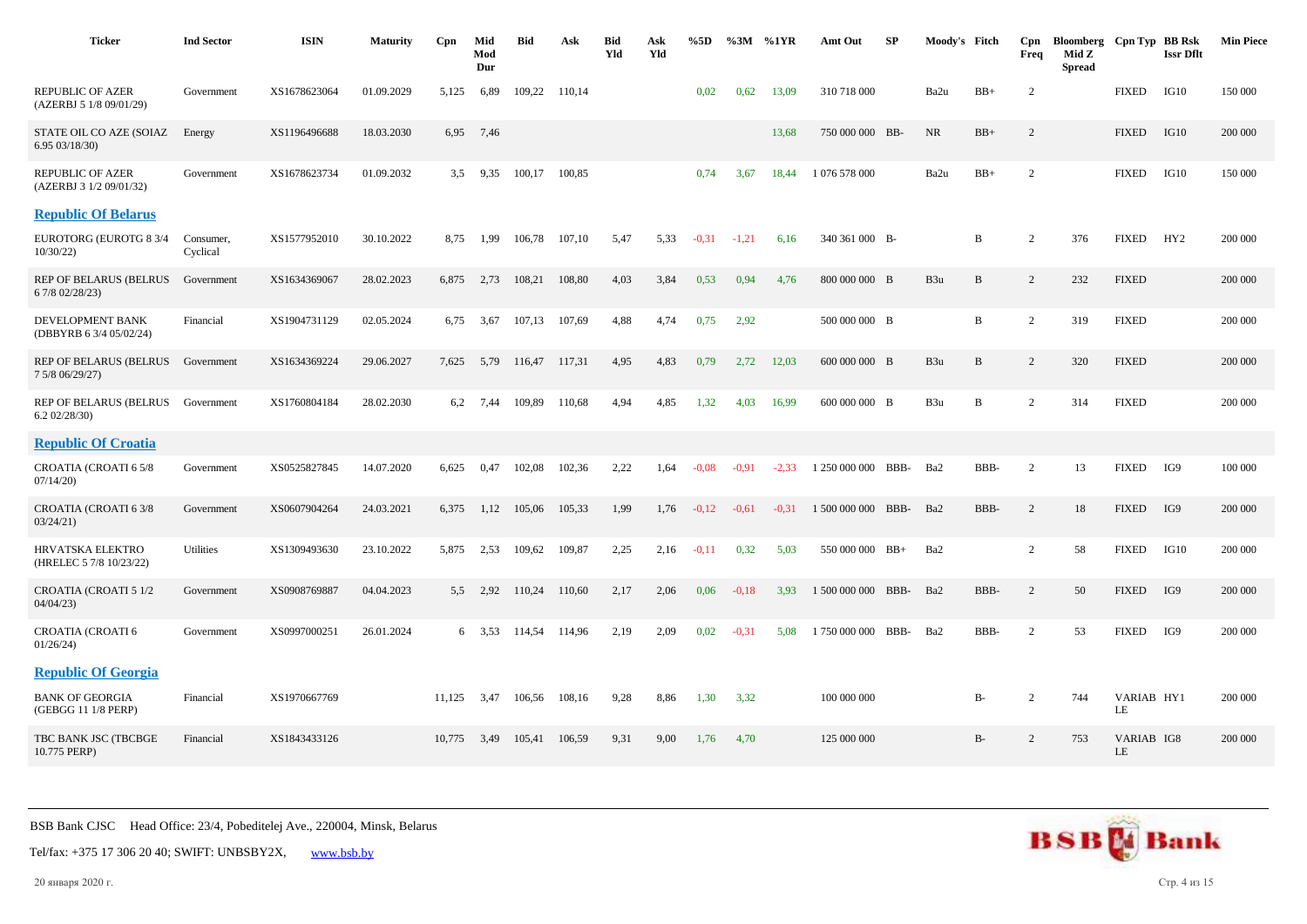| <b>Ticker</b>                                      | <b>Ind Sector</b>     | <b>ISIN</b>  | <b>Maturity</b> | C <sub>pn</sub> | Mid<br>Mod<br>Dur | <b>Bid</b> | Ask    | <b>Bid</b><br>Yld | Ask<br>Yld | %5D     | $\%3M$  | %1YR    | Amt Out            | SP   | Moody's Fitch   |              | Cpn<br>Freq    | Bloomberg Cpn Typ BB Rsk<br>Mid Z<br><b>Spread</b> |                  | <b>Issr Dflt</b> | <b>Min Piece</b> |
|----------------------------------------------------|-----------------------|--------------|-----------------|-----------------|-------------------|------------|--------|-------------------|------------|---------|---------|---------|--------------------|------|-----------------|--------------|----------------|----------------------------------------------------|------------------|------------------|------------------|
| <b>REPUBLIC OF AZER</b><br>(AZERBJ 5 1/8 09/01/29) | Government            | XS1678623064 | 01.09.2029      | 5,125           | 6,89              | 109,22     | 110,14 |                   |            | 0,02    | 0.62    | 13,09   | 310 718 000        |      | Ba2u            | $BB+$        | 2              |                                                    | <b>FIXED</b>     | IG10             | 150 000          |
| STATE OIL CO AZE (SOIAZ<br>6.95 03/18/30)          | Energy                | XS1196496688 | 18.03.2030      | 6,95            | 7,46              |            |        |                   |            |         |         | 13,68   | 750 000 000 BB-    |      | <b>NR</b>       | $BB+$        | $\overline{2}$ |                                                    | <b>FIXED</b>     | IG10             | 200 000          |
| <b>REPUBLIC OF AZER</b><br>(AZERBJ 3 1/2 09/01/32) | Government            | XS1678623734 | 01.09.2032      | 3,5             | 9,35              | 100,17     | 100,85 |                   |            | 0,74    | 3,67    | 18,44   | 1 076 578 000      |      | Ba2u            | $BB+$        | $\overline{2}$ |                                                    | <b>FIXED</b>     | IG10             | 150 000          |
| <b>Republic Of Belarus</b>                         |                       |              |                 |                 |                   |            |        |                   |            |         |         |         |                    |      |                 |              |                |                                                    |                  |                  |                  |
| EUROTORG (EUROTG 8 3/4<br>10/30/22                 | Consumer,<br>Cyclical | XS1577952010 | 30.10.2022      | 8,75            | 1,99              | 106,78     | 107,10 | 5,47              | 5,33       | $-0.31$ | $-1,21$ | 6,16    | 340 361 000 B-     |      |                 | B            | 2              | 376                                                | <b>FIXED</b>     | HY <sub>2</sub>  | 200 000          |
| REP OF BELARUS (BELRUS<br>6 7/8 02/28/23)          | Government            | XS1634369067 | 28.02.2023      | 6,875           | 2,73              | 108,21     | 108,80 | 4,03              | 3,84       | 0,53    | 0.94    | 4,76    | 800 000 000 B      |      | B <sub>3u</sub> | B            | $\overline{2}$ | 232                                                | <b>FIXED</b>     |                  | 200 000          |
| DEVELOPMENT BANK<br>(DBBYRB 6 3/4 05/02/24)        | Financial             | XS1904731129 | 02.05.2024      | 6,75            | 3,67              | 107,13     | 107,69 | 4,88              | 4,74       | 0,75    | 2,92    |         | 500 000 000 B      |      |                 | $\, {\bf B}$ | 2              | 319                                                | <b>FIXED</b>     |                  | 200 000          |
| <b>REP OF BELARUS (BELRUS</b><br>7 5/8 06/29/27)   | Government            | XS1634369224 | 29.06.2027      | 7,625           | 5,79              | 116,47     | 117,31 | 4,95              | 4,83       | 0,79    | 2,72    | 12,03   | 600 000 000 B      |      | B <sub>3u</sub> | $\, {\bf B}$ | 2              | 320                                                | <b>FIXED</b>     |                  | 200 000          |
| REP OF BELARUS (BELRUS<br>6.202/28/30              | Government            | XS1760804184 | 28.02.2030      | 6,2             | 7,44              | 109,89     | 110,68 | 4,94              | 4,85       | 1,32    | 4,03    | 16,99   | 600 000 000 B      |      | B3u             | $\, {\bf B}$ | 2              | 314                                                | <b>FIXED</b>     |                  | 200 000          |
| <b>Republic Of Croatia</b>                         |                       |              |                 |                 |                   |            |        |                   |            |         |         |         |                    |      |                 |              |                |                                                    |                  |                  |                  |
| CROATIA (CROATI 6 5/8<br>07/14/20                  | Government            | XS0525827845 | 14.07.2020      | 6,625           | 0,47              | 102,08     | 102,36 | 2,22              | 1,64       | $-0.08$ | $-0.91$ | $-2,33$ | 1 250 000 000      | BBB- | Ba2             | BBB-         | 2              | 13                                                 | <b>FIXED</b>     | IG9              | 100 000          |
| CROATIA (CROATI 6 3/8<br>03/24/21                  | Government            | XS0607904264 | 24.03.2021      | 6,375           | 1,12              | 105,06     | 105,33 | 1,99              | 1,76       | $-0,12$ | $-0,61$ | $-0.31$ | 1 500 000 000 BBB- |      | Ba2             | BBB-         | 2              | 18                                                 | <b>FIXED</b>     | IG9              | 200 000          |
| HRVATSKA ELEKTRO<br>(HRELEC 5 7/8 10/23/22)        | <b>Utilities</b>      | XS1309493630 | 23.10.2022      | 5,875           | 2,53              | 109,62     | 109,87 | 2,25              | 2,16       | $-0,11$ | 0.32    | 5,03    | 550 000 000 BB+    |      | Ba2             |              | 2              | 58                                                 | <b>FIXED</b>     | IG10             | 200 000          |
| CROATIA (CROATI 5 1/2<br>04/04/23                  | Government            | XS0908769887 | 04.04.2023      | 5.5             | 2,92              | 110,24     | 110,60 | 2,17              | 2,06       | 0,06    | $-0.18$ | 3,93    | 1 500 000 000 BBB- |      | Ba2             | BBB-         | $\overline{2}$ | 50                                                 | <b>FIXED</b>     | IG9              | 200 000          |
| CROATIA (CROATI 6<br>01/26/24                      | Government            | XS0997000251 | 26.01.2024      |                 | $6\quad 3.53$     | 114,54     | 114,96 | 2,19              | 2,09       | 0,02    | $-0,31$ | 5,08    | 1750 000 000       | BBB- | Ba2             | BBB-         | 2              | 53                                                 | <b>FIXED</b>     | IG9              | 200 000          |
| <b>Republic Of Georgia</b>                         |                       |              |                 |                 |                   |            |        |                   |            |         |         |         |                    |      |                 |              |                |                                                    |                  |                  |                  |
| <b>BANK OF GEORGIA</b><br>(GEBGG 11 1/8 PERP)      | Financial             | XS1970667769 |                 | 11,125          | 3,47              | 106,56     | 108,16 | 9,28              | 8,86       | 1,30    | 3,32    |         | 100 000 000        |      |                 | $B-$         | 2              | 744                                                | VARIAB HY1<br>LE |                  | 200 000          |
| TBC BANK JSC (TBCBGE<br>10.775 PERP)               | Financial             | XS1843433126 |                 | 10.775          | 3,49              | 105,41     | 106,59 | 9.31              | 9,00       | 1,76    | 4,70    |         | 125 000 000        |      |                 | $B-$         | 2              | 753                                                | VARIAB IG8<br>LE |                  | 200 000          |



Tel/fax: +375 17 306 20 40; SWIFT: UNBSBY2X, [www.bsb.by](https://www.bsb.by/)

20 января 2020 г. Стр. 4 из 15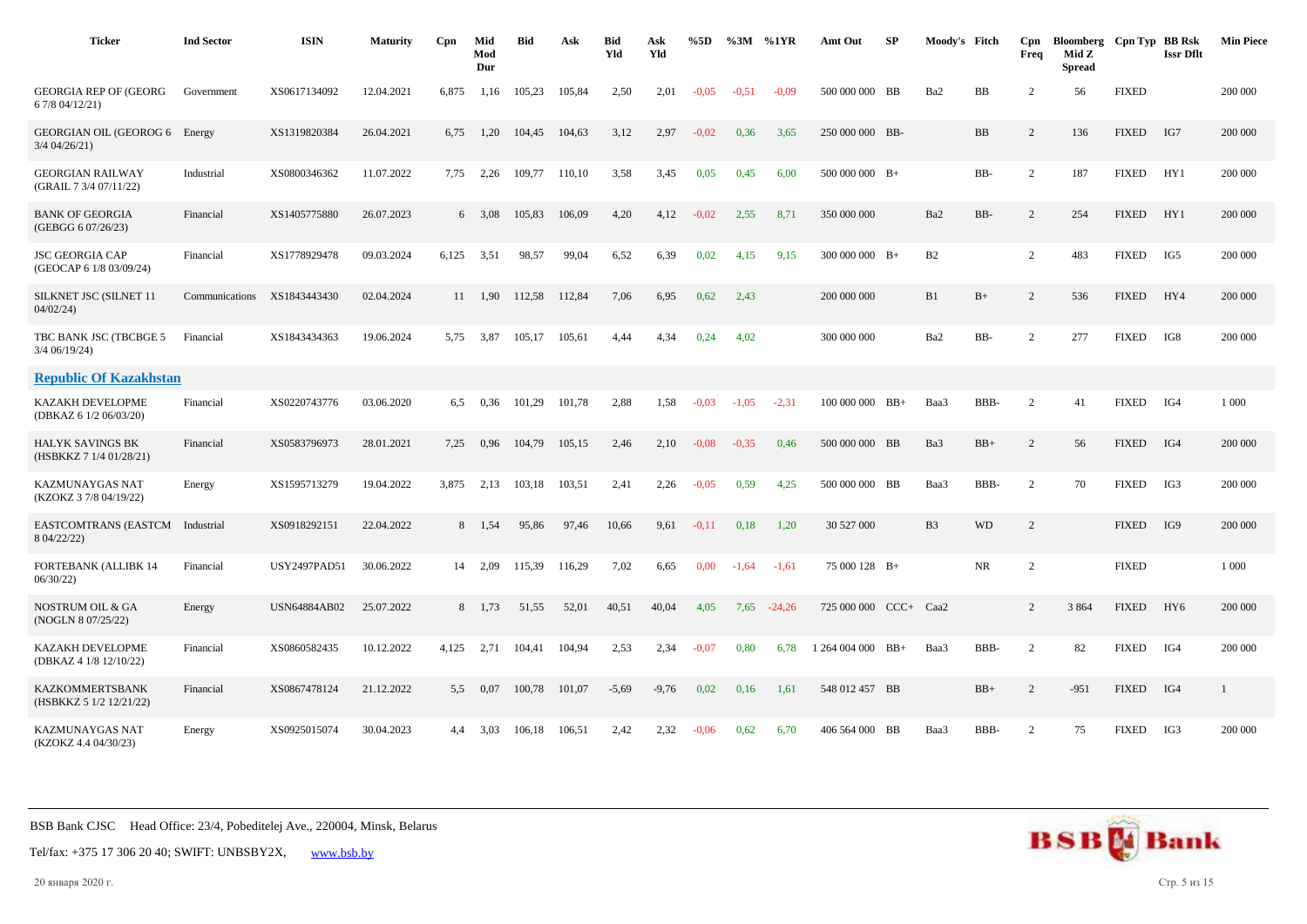| <b>Ticker</b>                                      | <b>Ind Sector</b> | <b>ISIN</b>         | <b>Maturity</b> | Cpn   | Mid<br>Mod<br>Dur | <b>Bid</b> | Ask    | <b>Bid</b><br>Yld | Ask<br>Yld | %5D     | $\%3M$ %1YR |          | Amt Out             | SP     | Moody's Fitch  |           | Cpn<br>Freq    | Bloomberg Cpn Typ BB Rsk<br>Mid Z<br><b>Spread</b> |              | <b>Issr Dflt</b> | <b>Min Piece</b> |
|----------------------------------------------------|-------------------|---------------------|-----------------|-------|-------------------|------------|--------|-------------------|------------|---------|-------------|----------|---------------------|--------|----------------|-----------|----------------|----------------------------------------------------|--------------|------------------|------------------|
| <b>GEORGIA REP OF (GEORG</b><br>6 7/8 04/12/21)    | Government        | XS0617134092        | 12.04.2021      | 6.875 | 1,16              | 105,23     | 105.84 | 2,50              | 2,01       | $-0.05$ | $-0.51$     | $-0.09$  | 500 000 000 BB      |        | Ba2            | BB        | 2              | 56                                                 | <b>FIXED</b> |                  | 200 000          |
| GEORGIAN OIL (GEOROG 6 Energy<br>3/4 04/26/21)     |                   | XS1319820384        | 26.04.2021      | 6,75  | 1,20              | 104,45     | 104,63 | 3,12              | 2,97       | $-0.02$ | 0,36        | 3,65     | 250 000 000 BB-     |        |                | <b>BB</b> | $\overline{2}$ | 136                                                | <b>FIXED</b> | IG7              | 200 000          |
| <b>GEORGIAN RAILWAY</b><br>(GRAIL 7 3/4 07/11/22)  | Industrial        | XS0800346362        | 11.07.2022      | 7,75  | 2,26              | 109.77     | 110,10 | 3,58              | 3,45       | 0,05    | 0.45        | 6,00     | $500000000$ B+      |        |                | BB-       | 2              | 187                                                | <b>FIXED</b> | HY1              | 200 000          |
| <b>BANK OF GEORGIA</b><br>(GEBGG 6 07/26/23)       | Financial         | XS1405775880        | 26.07.2023      |       | $6\quad 3.08$     | 105,83     | 106,09 | 4,20              | 4,12       | $-0.02$ | 2,55        | 8,71     | 350 000 000         |        | Ba2            | BB-       | 2              | 254                                                | <b>FIXED</b> | HY1              | 200 000          |
| <b>JSC GEORGIA CAP</b><br>(GEOCAP 6 1/8 03/09/24)  | Financial         | XS1778929478        | 09.03.2024      | 6,125 | 3,51              | 98,57      | 99,04  | 6,52              | 6,39       | 0,02    | 4,15        | 9,15     | $300\ 000\ 000$ B+  |        | B2             |           | $\overline{2}$ | 483                                                | <b>FIXED</b> | IG5              | 200 000          |
| SILKNET JSC (SILNET 11<br>04/02/24                 | Communications    | XS1843443430        | 02.04.2024      |       | 11 1.90           | 112,58     | 112,84 | 7,06              | 6,95       | 0,62    | 2,43        |          | 200 000 000         |        | B1             | $B+$      | $\overline{c}$ | 536                                                | <b>FIXED</b> | HY4              | 200 000          |
| TBC BANK JSC (TBCBGE 5<br>$3/4$ 06/19/24)          | Financial         | XS1843434363        | 19.06.2024      | 5,75  | 3,87              | 105,17     | 105,61 | 4,44              | 4,34       | 0,24    | 4,02        |          | 300 000 000         |        | Ba2            | BB-       | 2              | 277                                                | <b>FIXED</b> | IG8              | 200 000          |
| <b>Republic Of Kazakhstan</b>                      |                   |                     |                 |       |                   |            |        |                   |            |         |             |          |                     |        |                |           |                |                                                    |              |                  |                  |
| KAZAKH DEVELOPME<br>(DBKAZ 6 1/2 06/03/20)         | Financial         | XS0220743776        | 03.06.2020      | 6,5   | 0,36              | 101,29     | 101,78 | 2,88              | 1,58       | $-0.03$ | $-1.05$     | $-2,31$  | $100\ 000\ 000$ BB+ |        | Baa3           | BBB-      | 2              | 41                                                 | <b>FIXED</b> | IG4              | 1 0 0 0          |
| <b>HALYK SAVINGS BK</b><br>(HSBKKZ 7 1/4 01/28/21) | Financial         | XS0583796973        | 28.01.2021      | 7,25  | 0,96              | 104.79     | 105,15 | 2,46              | 2,10       | $-0.08$ | $-0.35$     | 0.46     | 500 000 000 BB      |        | Ba3            | $BB+$     | 2              | 56                                                 | <b>FIXED</b> | IG4              | 200 000          |
| KAZMUNAYGAS NAT<br>(KZOKZ 3 7/8 04/19/22)          | Energy            | XS1595713279        | 19.04.2022      | 3,875 | 2,13              | 103,18     | 103,51 | 2,41              | 2,26       | $-0.05$ | 0,59        | 4,25     | 500 000 000 BB      |        | Baa3           | BBB-      | 2              | 70                                                 | <b>FIXED</b> | IG3              | 200 000          |
| EASTCOMTRANS (EASTCM Industrial<br>8 04/22/22)     |                   | XS0918292151        | 22.04.2022      |       | 8 1,54            | 95,86      | 97,46  | 10,66             | 9,61       | $-0,11$ | 0,18        | 1,20     | 30 527 000          |        | B <sub>3</sub> | <b>WD</b> | 2              |                                                    | <b>FIXED</b> | IG9              | 200 000          |
| FORTEBANK (ALLIBK 14<br>06/30/22                   | Financial         | <b>USY2497PAD51</b> | 30.06.2022      | 14    | 2,09              | 115,39     | 116,29 | 7,02              | 6,65       | 0,00    | $-1,64$     | $-1,61$  | 75 000 128 B+       |        |                | <b>NR</b> | $\overline{2}$ |                                                    | <b>FIXED</b> |                  | 1 000            |
| <b>NOSTRUM OIL &amp; GA</b><br>(NOGLN 8 07/25/22)  | Energy            | <b>USN64884AB02</b> | 25.07.2022      | 8     | 1,73              | 51,55      | 52,01  | 40,51             | 40,04      | 4,05    | 7,65        | $-24,26$ | 725 000 000         | $CCC+$ | Caa2           |           | 2              | 3 8 6 4                                            | <b>FIXED</b> | HY <sub>6</sub>  | 200 000          |
| <b>KAZAKH DEVELOPME</b><br>(DBKAZ 4 1/8 12/10/22)  | Financial         | XS0860582435        | 10.12.2022      | 4,125 | 2,71              | 104,41     | 104,94 | 2,53              | 2,34       | $-0,07$ | 0,80        | 6,78     | 1 264 004 000 BB+   |        | Baa3           | BBB-      | 2              | 82                                                 | <b>FIXED</b> | IG4              | 200 000          |
| <b>KAZKOMMERTSBANK</b><br>(HSBKKZ 5 1/2 12/21/22)  | Financial         | XS0867478124        | 21.12.2022      | 5,5   | 0,07              | 100,78     | 101,07 | $-5,69$           | $-9,76$    | 0,02    | 0,16        | 1,61     | 548 012 457 BB      |        |                | $BB+$     | 2              | $-951$                                             | <b>FIXED</b> | IG4              | 1                |
| KAZMUNAYGAS NAT<br>(KZOKZ 4.4 04/30/23)            | Energy            | XS0925015074        | 30.04.2023      | 4.4   | 3,03              | 106,18     | 106,51 | 2,42              | 2,32       | $-0.06$ | 0.62        | 6,70     | 406 564 000 BB      |        | Baa3           | BBB-      | $\overline{2}$ | 75                                                 | <b>FIXED</b> | IG3              | 200 000          |



20 января 2020 г. Стр. 5 из 15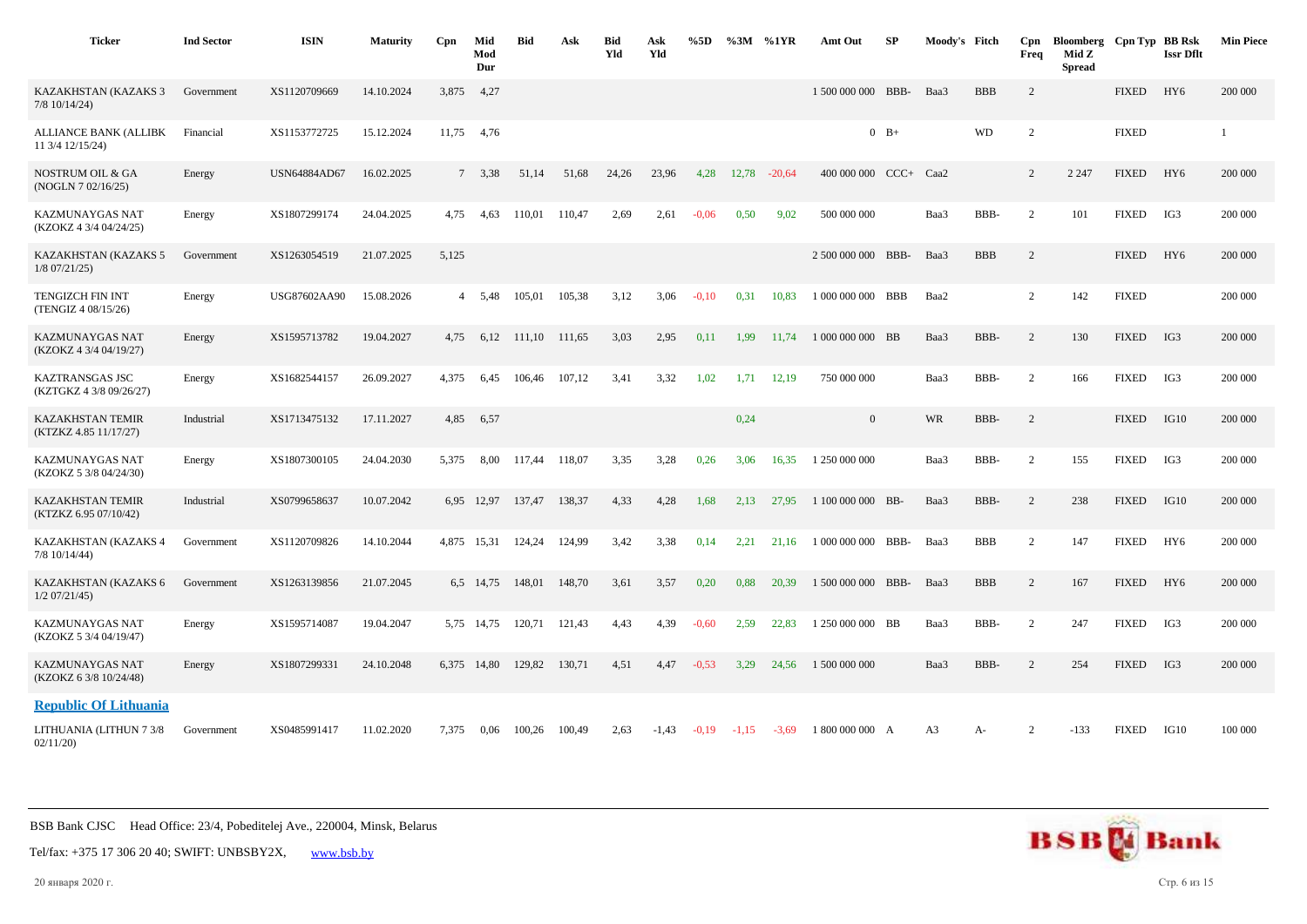| <b>Ticker</b>                                     | <b>Ind Sector</b> | <b>ISIN</b>         | <b>Maturity</b> | Cpn   | Mid<br>Mod<br>Dur  | <b>Bid</b> | Ask    | <b>Bid</b><br>Yld | Ask<br>Yld | %5D     |         | %3M %1YR | Amt Out               | <b>SP</b> | Moody's Fitch  |            | Cpn<br>Freq    | Bloomberg Cpn Typ BB Rsk<br>Mid Z<br><b>Spread</b> |              | <b>Issr Dflt</b> | <b>Min Piece</b> |
|---------------------------------------------------|-------------------|---------------------|-----------------|-------|--------------------|------------|--------|-------------------|------------|---------|---------|----------|-----------------------|-----------|----------------|------------|----------------|----------------------------------------------------|--------------|------------------|------------------|
| KAZAKHSTAN (KAZAKS 3<br>$7/8$ 10/14/24)           | Government        | XS1120709669        | 14.10.2024      | 3,875 | 4,27               |            |        |                   |            |         |         |          | 1 500 000 000 BBB-    |           | Baa3           | <b>BBB</b> | $\overline{2}$ |                                                    | <b>FIXED</b> | HY <sub>6</sub>  | 200 000          |
| <b>ALLIANCE BANK (ALLIBK</b><br>11 3/4 12/15/24)  | Financial         | XS1153772725        | 15.12.2024      | 11,75 | 4,76               |            |        |                   |            |         |         |          |                       | $0$ B+    |                | <b>WD</b>  | $\overline{2}$ |                                                    | <b>FIXED</b> |                  |                  |
| <b>NOSTRUM OIL &amp; GA</b><br>(NOGLN 7 02/16/25) | Energy            | <b>USN64884AD67</b> | 16.02.2025      |       | 7 3,38             | 51.14      | 51,68  | 24,26             | 23,96      | 4,28    | 12,78   | $-20,64$ | 400 000 000 CCC+ Caa2 |           |                |            | 2              | 2 2 4 7                                            | <b>FIXED</b> | HY <sub>6</sub>  | 200 000          |
| <b>KAZMUNAYGAS NAT</b><br>(KZOKZ 4 3/4 04/24/25)  | Energy            | XS1807299174        | 24.04.2025      | 4,75  | 4,63               | 110,01     | 110,47 | 2.69              | 2,61       | $-0.06$ | 0,50    | 9,02     | 500 000 000           |           | Baa3           | BBB-       | 2              | 101                                                | <b>FIXED</b> | IG3              | 200 000          |
| KAZAKHSTAN (KAZAKS 5<br>$1/8$ 07/21/25)           | Government        | XS1263054519        | 21.07.2025      | 5,125 |                    |            |        |                   |            |         |         |          | 2 500 000 000 BBB-    |           | Baa3           | <b>BBB</b> | $\overline{2}$ |                                                    | <b>FIXED</b> | HY <sub>6</sub>  | 200 000          |
| TENGIZCH FIN INT<br>(TENGIZ 4 08/15/26)           | Energy            | USG87602AA90        | 15.08.2026      | 4     | 5,48               | 105,01     | 105,38 | 3,12              | 3,06       | $-0,10$ | 0,31    | 10,83    | 1 000 000 000 BBB     |           | Baa2           |            | $\overline{2}$ | 142                                                | <b>FIXED</b> |                  | 200 000          |
| KAZMUNAYGAS NAT<br>(KZOKZ 4 3/4 04/19/27)         | Energy            | XS1595713782        | 19.04.2027      | 4,75  | 6,12               | 111,10     | 111,65 | 3,03              | 2,95       | 0,11    | 1,99    | 11.74    | 1 000 000 000 BB      |           | Baa3           | BBB-       | 2              | 130                                                | <b>FIXED</b> | IG3              | 200 000          |
| KAZTRANSGAS JSC<br>(KZTGKZ 4 3/8 09/26/27)        | Energy            | XS1682544157        | 26.09.2027      | 4,375 | 6,45               | 106,46     | 107,12 | 3,41              | 3,32       | 1,02    | 1,71    | 12,19    | 750 000 000           |           | Baa3           | BBB-       | 2              | 166                                                | <b>FIXED</b> | IG3              | 200 000          |
| <b>KAZAKHSTAN TEMIR</b><br>(KTZKZ 4.85 11/17/27)  | Industrial        | XS1713475132        | 17.11.2027      | 4,85  | 6,57               |            |        |                   |            |         | 0,24    |          | $\overline{0}$        |           | <b>WR</b>      | BBB-       | 2              |                                                    | <b>FIXED</b> | IG10             | 200 000          |
| KAZMUNAYGAS NAT<br>(KZOKZ 5 3/8 04/24/30)         | Energy            | XS1807300105        | 24.04.2030      | 5,375 | 8,00               | 117.44     | 118,07 | 3,35              | 3,28       | 0,26    | 3,06    | 16,35    | 1 250 000 000         |           | Baa3           | BBB-       | 2              | 155                                                | <b>FIXED</b> | IG3              | 200 000          |
| <b>KAZAKHSTAN TEMIR</b><br>(KTZKZ 6.95 07/10/42)  | Industrial        | XS0799658637        | 10.07.2042      | 6.95  | 12,97              | 137,47     | 138,37 | 4,33              | 4,28       | 1,68    | 2,13    | 27.95    | 1 100 000 000 BB-     |           | Baa3           | BBB-       | 2              | 238                                                | <b>FIXED</b> | IG10             | 200 000          |
| KAZAKHSTAN (KAZAKS 4<br>$7/8$ 10/14/44)           | Government        | XS1120709826        | 14.10.2044      |       | 4,875 15,31 124,24 |            | 124,99 | 3,42              | 3,38       | 0,14    | 2,21    | 21.16    | 1 000 000 000 BBB-    |           | Baa3           | <b>BBB</b> | $\overline{2}$ | 147                                                | <b>FIXED</b> | HY <sub>6</sub>  | 200 000          |
| KAZAKHSTAN (KAZAKS 6<br>$1/2$ 07/21/45)           | Government        | XS1263139856        | 21.07.2045      |       | 6,5 14,75          | 148,01     | 148,70 | 3,61              | 3,57       | 0,20    | 0.88    | 20.39    | 1 500 000 000 BBB-    |           | Baa3           | <b>BBB</b> | $\overline{2}$ | 167                                                | <b>FIXED</b> | HY <sub>6</sub>  | 200 000          |
| KAZMUNAYGAS NAT<br>(KZOKZ 5 3/4 04/19/47)         | Energy            | XS1595714087        | 19.04.2047      | 5.75  | 14.75              | 120.71     | 121,43 | 4,43              | 4,39       | $-0.60$ | 2,59    | 22.83    | 1 250 000 000 BB      |           | Baa3           | BBB-       | 2              | 247                                                | <b>FIXED</b> | IG3              | 200 000          |
| KAZMUNAYGAS NAT<br>(KZOKZ 6 3/8 10/24/48)         | Energy            | XS1807299331        | 24.10.2048      |       | 6,375 14,80        | 129,82     | 130.71 | 4,51              | 4,47       | $-0,53$ | 3,29    | 24.56    | 1 500 000 000         |           | Baa3           | BBB-       | $\overline{2}$ | 254                                                | <b>FIXED</b> | IG3              | 200 000          |
| <b>Republic Of Lithuania</b>                      |                   |                     |                 |       |                    |            |        |                   |            |         |         |          |                       |           |                |            |                |                                                    |              |                  |                  |
| LITHUANIA (LITHUN 7 3/8<br>02/11/20               | Government        | XS0485991417        | 11.02.2020      | 7,375 | 0,06               | 100,26     | 100,49 | 2,63              | $-1,43$    | $-0,19$ | $-1,15$ | $-3,69$  | 1 800 000 000 A       |           | A <sub>3</sub> | A-         | $\overline{2}$ | $-133$                                             | <b>FIXED</b> | IG10             | 100 000          |



Tel/fax: +375 17 306 20 40; SWIFT: UNBSBY2X, [www.bsb.by](https://www.bsb.by/)

20 января 2020 г. Стр. 6 из 15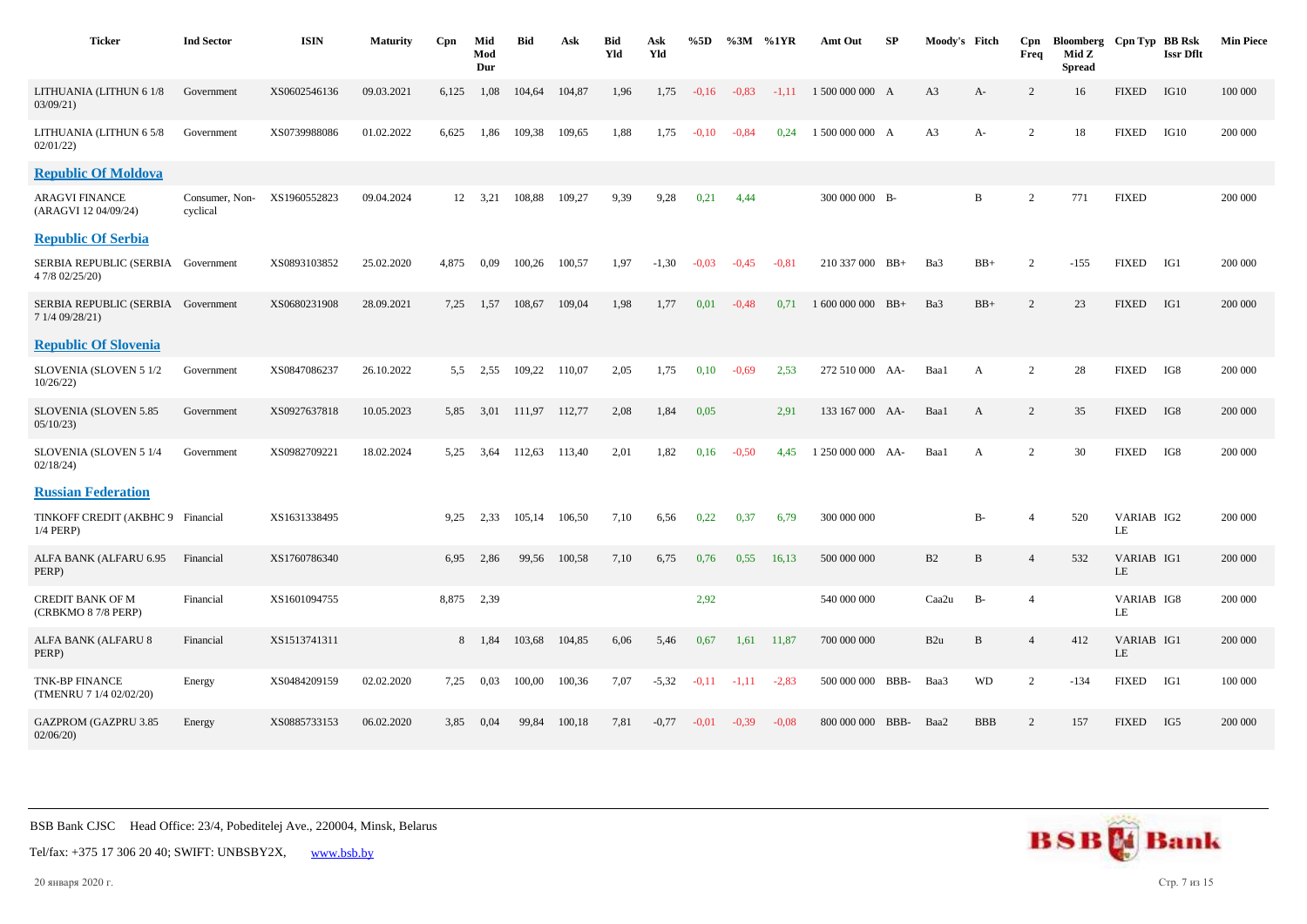| <b>Ticker</b>                                         | <b>Ind Sector</b>          | <b>ISIN</b>  | <b>Maturity</b> | Cpn   | Mid<br>Mod<br>Dur | Bid    | Ask    | Bid<br>Yld | Ask<br>Yld | %5D     | %3M     | %1YR    | Amt Out           | SP | Moody's Fitch  |              | Cpn<br>Freq    | Bloomberg Cpn Typ BB Rsk<br>Mid Z<br><b>Spread</b> |                  | <b>Issr Dflt</b> | <b>Min Piece</b> |
|-------------------------------------------------------|----------------------------|--------------|-----------------|-------|-------------------|--------|--------|------------|------------|---------|---------|---------|-------------------|----|----------------|--------------|----------------|----------------------------------------------------|------------------|------------------|------------------|
| LITHUANIA (LITHUN 6 1/8<br>03/09/21                   | Government                 | XS0602546136 | 09.03.2021      | 6,125 | 1,08              | 104,64 | 104,87 | 1,96       | 1,75       | $-0,16$ | $-0.83$ | $-1,11$ | 1 500 000 000 A   |    | A <sub>3</sub> | A-           | 2              | 16                                                 | <b>FIXED</b>     | IG10             | 100 000          |
| LITHUANIA (LITHUN 6 5/8<br>02/01/22                   | Government                 | XS0739988086 | 01.02.2022      | 6,625 | 1,86              | 109,38 | 109,65 | 1,88       | 1,75       | $-0,10$ | $-0.84$ | 0,24    | 1 500 000 000 A   |    | A <sub>3</sub> | A-           | 2              | 18                                                 | <b>FIXED</b>     | IG10             | 200 000          |
| <b>Republic Of Moldova</b>                            |                            |              |                 |       |                   |        |        |            |            |         |         |         |                   |    |                |              |                |                                                    |                  |                  |                  |
| <b>ARAGVI FINANCE</b><br>(ARAGVI 12 04/09/24)         | Consumer, Non-<br>cyclical | XS1960552823 | 09.04.2024      |       | 12 3,21           | 108,88 | 109,27 | 9,39       | 9,28       | 0,21    | 4,44    |         | 300 000 000 B-    |    |                | B            | $\overline{2}$ | 771                                                | <b>FIXED</b>     |                  | 200 000          |
| <b>Republic Of Serbia</b>                             |                            |              |                 |       |                   |        |        |            |            |         |         |         |                   |    |                |              |                |                                                    |                  |                  |                  |
| SERBIA REPUBLIC (SERBIA Government<br>4 7/8 02/25/20) |                            | XS0893103852 | 25.02.2020      | 4,875 | 0,09              | 100,26 | 100,57 | 1,97       | $-1,30$    | $-0.03$ | $-0,45$ | $-0.81$ | 210 337 000 BB+   |    | Ba3            | $BB+$        | 2              | $-155$                                             | <b>FIXED</b>     | IG1              | 200 000          |
| SERBIA REPUBLIC (SERBIA Government<br>7 1/4 09/28/21) |                            | XS0680231908 | 28.09.2021      | 7,25  | 1,57              | 108,67 | 109,04 | 1,98       | 1,77       | 0,01    | $-0,48$ | 0.71    | $1600000000$ BB+  |    | Ba3            | $BB+$        | 2              | 23                                                 | <b>FIXED</b>     | IG1              | 200 000          |
| <b>Republic Of Slovenia</b>                           |                            |              |                 |       |                   |        |        |            |            |         |         |         |                   |    |                |              |                |                                                    |                  |                  |                  |
| SLOVENIA (SLOVEN 5 1/2<br>10/26/22                    | Government                 | XS0847086237 | 26.10.2022      | 5,5   | 2,55              | 109,22 | 110,07 | 2,05       | 1,75       | 0,10    | $-0,69$ | 2,53    | 272 510 000 AA-   |    | Baa1           | $\mathbf{A}$ | $\overline{2}$ | 28                                                 | <b>FIXED</b>     | IG8              | 200 000          |
| SLOVENIA (SLOVEN 5.85<br>05/10/23                     | Government                 | XS0927637818 | 10.05.2023      | 5,85  | 3,01              | 111,97 | 112,77 | 2,08       | 1,84       | 0,05    |         | 2,91    | 133 167 000 AA-   |    | Baa1           | A            | $\overline{c}$ | 35                                                 | <b>FIXED</b>     | IG8              | 200 000          |
| SLOVENIA (SLOVEN 5 1/4<br>02/18/24                    | Government                 | XS0982709221 | 18.02.2024      | 5,25  | 3,64              | 112,63 | 113,40 | 2,01       | 1,82       | 0,16    | $-0,50$ | 4,45    | 1 250 000 000 AA- |    | Baa1           | A            | 2              | 30                                                 | <b>FIXED</b>     | IG8              | 200 000          |
| <b>Russian Federation</b>                             |                            |              |                 |       |                   |        |        |            |            |         |         |         |                   |    |                |              |                |                                                    |                  |                  |                  |
| TINKOFF CREDIT (AKBHC 9 Financial<br>$1/4$ PERP)      |                            | XS1631338495 |                 | 9.25  | 2,33              | 105,14 | 106,50 | 7,10       | 6,56       | 0,22    | 0,37    | 6,79    | 300 000 000       |    |                | <b>B-</b>    | $\overline{4}$ | 520                                                | VARIAB IG2<br>LE |                  | 200 000          |
| ALFA BANK (ALFARU 6.95<br>PERP)                       | Financial                  | XS1760786340 |                 | 6,95  | 2,86              | 99,56  | 100,58 | 7,10       | 6,75       | 0,76    | 0.55    | 16,13   | 500 000 000       |    | B2             | $\, {\bf B}$ | $\overline{4}$ | 532                                                | VARIAB IG1<br>LE |                  | 200 000          |
| CREDIT BANK OF M<br>(CRBKMO 8 7/8 PERP)               | Financial                  | XS1601094755 |                 | 8.875 | 2,39              |        |        |            |            | 2,92    |         |         | 540 000 000       |    | Caa2u          | $B-$         | $\overline{4}$ |                                                    | VARIAB IG8<br>LE |                  | 200 000          |
| ALFA BANK (ALFARU 8<br>PERP)                          | Financial                  | XS1513741311 |                 |       | 8 1,84            | 103,68 | 104,85 | 6,06       | 5,46       | 0,67    | 1,61    | 11,87   | 700 000 000       |    | B2u            | B            | $\overline{4}$ | 412                                                | VARIAB IG1<br>LE |                  | 200 000          |
| <b>TNK-BP FINANCE</b><br>(TMENRU 7 1/4 02/02/20)      | Energy                     | XS0484209159 | 02.02.2020      | 7,25  | 0,03              | 100,00 | 100,36 | 7,07       | $-5,32$    | $-0,11$ | $-1,11$ | $-2,83$ | 500 000 000 BBB-  |    | Baa3           | <b>WD</b>    | 2              | $-134$                                             | <b>FIXED</b>     | IG1              | 100 000          |
| <b>GAZPROM (GAZPRU 3.85</b><br>02/06/20               | Energy                     | XS0885733153 | 06.02.2020      | 3.85  | 0,04              | 99.84  | 100,18 | 7,81       | $-0,77$    | $-0.01$ | $-0.39$ | $-0.08$ | 800 000 000 BBB-  |    | Baa2           | <b>BBB</b>   | 2              | 157                                                | <b>FIXED</b>     | IG5              | 200 000          |



Tel/fax: +375 17 306 20 40; SWIFT: UNBSBY2X, [www.bsb.by](https://www.bsb.by/)

20 января 2020 г. Стр. 7 из 15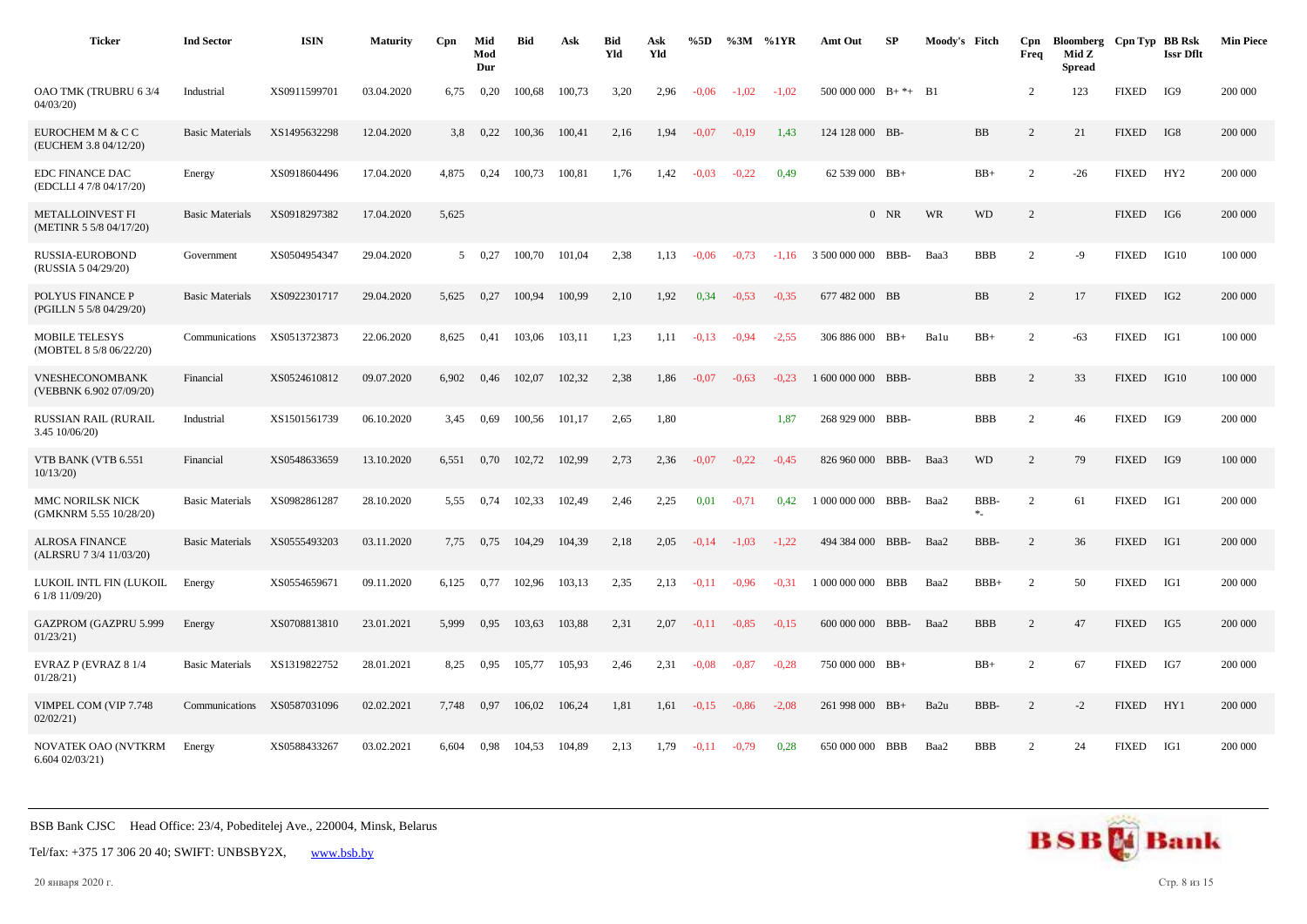| <b>Ticker</b>                                      | <b>Ind Sector</b>      | <b>ISIN</b>  | <b>Maturity</b> | Cpn            | Mid<br>Mod<br>Dur | <b>Bid</b> | Ask    | <b>Bid</b><br>Yld | Ask<br>Yld | %5D     | %3M     | %1YR    | Amt Out                  | SP         | Moody's Fitch |                   | Cpn<br>Freq    | Bloomberg Cpn Typ BB Rsk<br>Mid Z<br><b>Spread</b> |              | <b>Issr Dflt</b> | <b>Min Piece</b> |
|----------------------------------------------------|------------------------|--------------|-----------------|----------------|-------------------|------------|--------|-------------------|------------|---------|---------|---------|--------------------------|------------|---------------|-------------------|----------------|----------------------------------------------------|--------------|------------------|------------------|
| OAO TMK (TRUBRU 63/4<br>04/03/20                   | Industrial             | XS0911599701 | 03.04.2020      | 6,75           | 0,20              | 100,68     | 100,73 | 3,20              | 2,96       | $-0.06$ | $-1.02$ | $-1,02$ | $500\,000\,000$ B+ $*$ + |            | <b>B1</b>     |                   | $\overline{c}$ | 123                                                | <b>FIXED</b> | IG9              | 200 000          |
| EUROCHEM M & C C<br>(EUCHEM 3.8 04/12/20)          | <b>Basic Materials</b> | XS1495632298 | 12.04.2020      | 3.8            | 0,22              | 100,36     | 100,41 | 2,16              | 1,94       | $-0.07$ | $-0.19$ | 1.43    | 124 128 000 BB-          |            |               | <b>BB</b>         | $\overline{2}$ | 21                                                 | <b>FIXED</b> | IG8              | 200 000          |
| <b>EDC FINANCE DAC</b><br>(EDCLLI 4 7/8 04/17/20)  | Energy                 | XS0918604496 | 17.04.2020      | 4,875          | 0,24              | 100,73     | 100,81 | 1,76              | 1,42       | $-0.03$ | $-0,22$ | 0,49    | 62 539 000 BB+           |            |               | $BB+$             | 2              | $-26$                                              | <b>FIXED</b> | HY2              | 200 000          |
| <b>METALLOINVEST FI</b><br>(METINR 5 5/8 04/17/20) | <b>Basic Materials</b> | XS0918297382 | 17.04.2020      | 5,625          |                   |            |        |                   |            |         |         |         |                          | $0$ NR     | WR            | <b>WD</b>         | $\overline{2}$ |                                                    | <b>FIXED</b> | IG6              | 200 000          |
| RUSSIA-EUROBOND<br>(RUSSIA 5 04/29/20)             | Government             | XS0504954347 | 29.04.2020      | 5 <sup>5</sup> | 0,27              | 100,70     | 101,04 | 2,38              | 1,13       | $-0.06$ | $-0.73$ | $-1.16$ | 3 500 000 000            | BBB-       | Baa3          | <b>BBB</b>        | $\overline{2}$ | $-9$                                               | <b>FIXED</b> | IG10             | 100 000          |
| POLYUS FINANCE P<br>(PGILLN 5 5/8 04/29/20)        | <b>Basic Materials</b> | XS0922301717 | 29.04.2020      | 5,625          | 0,27              | 100,94     | 100,99 | 2,10              | 1,92       | 0,34    | $-0.53$ | $-0.35$ | 677 482 000 BB           |            |               | <b>BB</b>         | $\overline{2}$ | 17                                                 | <b>FIXED</b> | IG <sub>2</sub>  | 200 000          |
| <b>MOBILE TELESYS</b><br>(MOBTEL 8 5/8 06/22/20)   | Communications         | XS0513723873 | 22.06.2020      | 8,625          | 0,41              | 103,06     | 103,11 | 1,23              | 1,11       | $-0,13$ | $-0.94$ | $-2,55$ | 306 886 000 BB+          |            | Balu          | $BB+$             | 2              | $-63$                                              | <b>FIXED</b> | IG1              | 100 000          |
| VNESHECONOMBANK<br>(VEBBNK 6.902 07/09/20)         | Financial              | XS0524610812 | 09.07.2020      | 6,902          | 0,46              | 102,07     | 102,32 | 2,38              | 1,86       | $-0.07$ | $-0.63$ | $-0.23$ | 1 600 000 000 BBB-       |            |               | <b>BBB</b>        | $\overline{2}$ | 33                                                 | <b>FIXED</b> | IG10             | 100 000          |
| RUSSIAN RAIL (RURAIL<br>3.45 10/06/20)             | Industrial             | XS1501561739 | 06.10.2020      | 3,45           | 0.69              | 100,56     | 101,17 | 2,65              | 1,80       |         |         | 1,87    | 268 929 000 BBB-         |            |               | <b>BBB</b>        | 2              | 46                                                 | <b>FIXED</b> | IG9              | 200 000          |
| VTB BANK (VTB 6.551<br>10/13/20                    | Financial              | XS0548633659 | 13.10.2020      | 6,551          | 0,70              | 102,72     | 102,99 | 2,73              | 2,36       | $-0.07$ | $-0,22$ | $-0.45$ | 826 960 000 BBB-         |            | Baa3          | <b>WD</b>         | $\overline{2}$ | 79                                                 | <b>FIXED</b> | IG9              | 100 000          |
| MMC NORILSK NICK<br>(GMKNRM 5.55 10/28/20)         | <b>Basic Materials</b> | XS0982861287 | 28.10.2020      | 5,55           | 0,74              | 102,33     | 102,49 | 2,46              | 2,25       | 0,01    | $-0,71$ | 0,42    | 1 000 000 000            | BBB-       | Baa2          | <b>BBB</b><br>$*$ | 2              | 61                                                 | <b>FIXED</b> | IG1              | 200 000          |
| <b>ALROSA FINANCE</b><br>(ALRSRU 7 3/4 11/03/20)   | <b>Basic Materials</b> | XS0555493203 | 03.11.2020      | 7,75           | 0,75              | 104,29     | 104,39 | 2,18              | 2,05       | $-0,14$ | $-1,03$ | $-1,22$ | 494 384 000              | BBB-       | Baa2          | BBB-              | 2              | 36                                                 | <b>FIXED</b> | IG1              | 200 000          |
| LUKOIL INTL FIN (LUKOIL<br>6 1/8 11/09/20)         | Energy                 | XS0554659671 | 09.11.2020      | 6,125          | 0,77              | 102,96     | 103,13 | 2,35              | 2,13       | $-0,11$ | $-0.96$ | $-0.31$ | 1 000 000 000            | BBB        | Baa2          | $BBB+$            | 2              | 50                                                 | <b>FIXED</b> | IG1              | 200 000          |
| GAZPROM (GAZPRU 5.999<br>01/23/21                  | Energy                 | XS0708813810 | 23.01.2021      | 5,999          | 0,95              | 103,63     | 103,88 | 2,31              | 2,07       | $-0,11$ | $-0.85$ | $-0.15$ | 600 000 000 BBB-         |            | Baa2          | <b>BBB</b>        | $\overline{c}$ | 47                                                 | <b>FIXED</b> | IG5              | 200 000          |
| EVRAZ P (EVRAZ 8 1/4<br>01/28/21                   | <b>Basic Materials</b> | XS1319822752 | 28.01.2021      | 8,25           | 0,95              | 105,77     | 105,93 | 2,46              | 2,31       | $-0.08$ | $-0.87$ | $-0.28$ | 750 000 000 BB+          |            |               | $BB+$             | $\overline{c}$ | 67                                                 | <b>FIXED</b> | IG7              | 200 000          |
| VIMPEL COM (VIP 7.748<br>02/02/21                  | Communications         | XS0587031096 | 02.02.2021      | 7,748          | 0,97              | 106,02     | 106,24 | 1,81              | 1,61       | $-0,15$ | $-0.86$ | $-2,08$ | 261 998 000 BB+          |            | Ba2u          | BBB-              | $\overline{2}$ | $-2$                                               | <b>FIXED</b> | HY1              | 200 000          |
| NOVATEK OAO (NVTKRM<br>6.60402/03/21               | Energy                 | XS0588433267 | 03.02.2021      | 6.604          | 0.98              | 104.53     | 104.89 | 2,13              | 1.79       | $-0.11$ | $-0.79$ | 0.28    | 650 000 000              | <b>BBB</b> | Baa2          | <b>BBB</b>        | 2              | 24                                                 | <b>FIXED</b> | IG1              | 200 000          |

Tel/fax: +375 17 306 20 40; SWIFT: UNBSBY2X, [www.bsb.by](https://www.bsb.by/)

20 января 2020 г. Стр. 8 из 15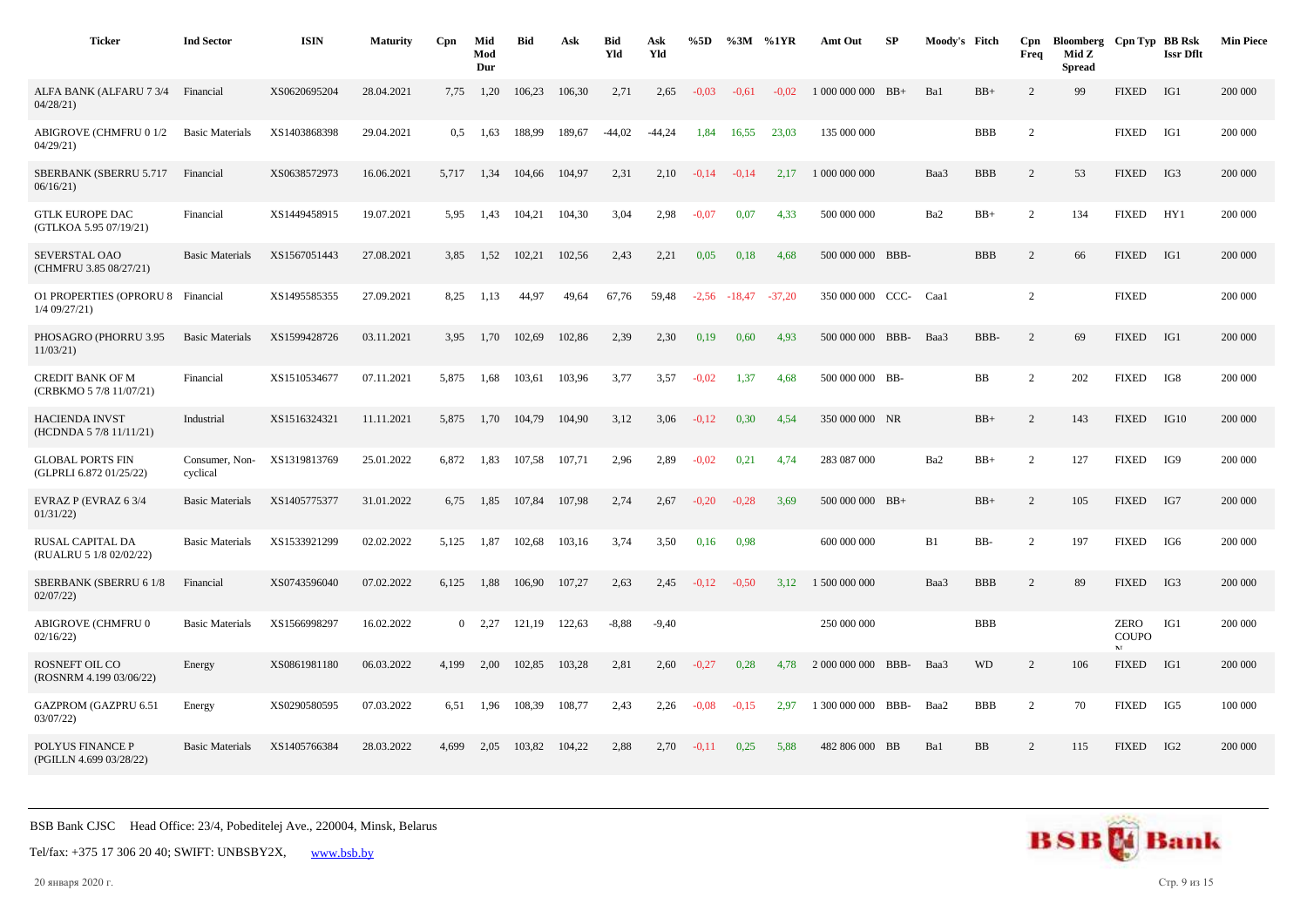| <b>Ticker</b>                                      | <b>Ind Sector</b>          | <b>ISIN</b>  | <b>Maturity</b> | Cpn           | Mid<br>Mod<br>Dur | <b>Bid</b> | Ask    | <b>Bid</b><br>Yld | Ask<br>Yld | %5D     | %3M      | %1YR     | Amt Out            | SP   | Moody's Fitch |            | Cpn<br>Freq    | Bloomberg Cpn Typ BB Rsk<br>Mid Z<br><b>Spread</b> |                                   | <b>Issr Dflt</b> | <b>Min Piece</b> |
|----------------------------------------------------|----------------------------|--------------|-----------------|---------------|-------------------|------------|--------|-------------------|------------|---------|----------|----------|--------------------|------|---------------|------------|----------------|----------------------------------------------------|-----------------------------------|------------------|------------------|
| ALFA BANK (ALFARU 7 3/4<br>04/28/21                | Financial                  | XS0620695204 | 28.04.2021      | 7,75          | 1,20              | 106,23     | 106,30 | 2,71              | 2,65       | $-0.03$ | $-0.61$  | $-0.02$  | 1 000 000 000 BB+  |      | Ba1           | $BB+$      | $\overline{2}$ | 99                                                 | <b>FIXED</b>                      | IG1              | 200 000          |
| <b>ABIGROVE (CHMFRU 0 1/2</b><br>04/29/21          | <b>Basic Materials</b>     | XS1403868398 | 29.04.2021      | $0.5^{\circ}$ | 1,63              | 188,99     | 189,67 | $-44,02$          | $-44,24$   | 1,84    | 16,55    | 23,03    | 135 000 000        |      |               | <b>BBB</b> | 2              |                                                    | <b>FIXED</b>                      | IG1              | 200 000          |
| SBERBANK (SBERRU 5.717<br>06/16/21                 | Financial                  | XS0638572973 | 16.06.2021      | 5,717         | 1,34              | 104,66     | 104,97 | 2,31              | 2,10       | $-0,14$ | $-0,14$  | 2,17     | 1 000 000 000      |      | Baa3          | <b>BBB</b> | 2              | 53                                                 | <b>FIXED</b>                      | IG3              | 200 000          |
| <b>GTLK EUROPE DAC</b><br>(GTLKOA 5.95 07/19/21)   | Financial                  | XS1449458915 | 19.07.2021      | 5,95          | 1,43              | 104,21     | 104,30 | 3,04              | 2,98       | $-0,07$ | 0,07     | 4,33     | 500 000 000        |      | Ba2           | $BB+$      | $\overline{c}$ | 134                                                | <b>FIXED</b>                      | HY1              | 200 000          |
| SEVERSTAL OAO<br>(CHMFRU 3.85 08/27/21)            | <b>Basic Materials</b>     | XS1567051443 | 27.08.2021      | 3.85          | 1,52              | 102.21     | 102.56 | 2,43              | 2,21       | 0,05    | 0,18     | 4.68     | 500 000 000 BBB-   |      |               | <b>BBB</b> | $\overline{2}$ | 66                                                 | <b>FIXED</b>                      | IG1              | 200 000          |
| <b>O1 PROPERTIES (OPRORU 8</b><br>$1/4$ 09/27/21)  | Financial                  | XS1495585355 | 27.09.2021      | 8,25          | 1,13              | 44,97      | 49,64  | 67,76             | 59,48      | $-2,56$ | $-18,47$ | $-37,20$ | 350 000 000        | CCC- | Caal          |            | 2              |                                                    | <b>FIXED</b>                      |                  | 200 000          |
| PHOSAGRO (PHORRU 3.95<br>11/03/21                  | <b>Basic Materials</b>     | XS1599428726 | 03.11.2021      | 3,95          | 1,70              | 102,69     | 102,86 | 2,39              | 2,30       | 0,19    | 0,60     | 4,93     | 500 000 000        | BBB- | Baa3          | BBB-       | 2              | 69                                                 | <b>FIXED</b>                      | IG1              | 200 000          |
| <b>CREDIT BANK OF M</b><br>(CRBKMO 5 7/8 11/07/21) | Financial                  | XS1510534677 | 07.11.2021      | 5,875         | 1,68              | 103,61     | 103,96 | 3,77              | 3,57       | $-0.02$ | 1,37     | 4.68     | 500 000 000 BB-    |      |               | BB         | 2              | 202                                                | <b>FIXED</b>                      | IG8              | 200 000          |
| <b>HACIENDA INVST</b><br>(HCDNDA 5 7/8 11/11/21)   | Industrial                 | XS1516324321 | 11.11.2021      | 5,875         | 1,70              | 104,79     | 104,90 | 3,12              | 3,06       | $-0,12$ | 0,30     | 4.54     | 350 000 000 NR     |      |               | $BB+$      | 2              | 143                                                | <b>FIXED</b>                      | IG10             | 200 000          |
| <b>GLOBAL PORTS FIN</b><br>(GLPRLI 6.872 01/25/22) | Consumer, Non-<br>cyclical | XS1319813769 | 25.01.2022      | 6,872         | 1,83              | 107,58     | 107,71 | 2,96              | 2,89       | $-0.02$ | 0,21     | 4,74     | 283 087 000        |      | Ba2           | $BB+$      | $\overline{c}$ | 127                                                | <b>FIXED</b>                      | IG9              | 200 000          |
| EVRAZ P (EVRAZ 6 3/4<br>01/31/22                   | <b>Basic Materials</b>     | XS1405775377 | 31.01.2022      | 6,75          | 1,85              | 107,84     | 107,98 | 2,74              | 2,67       | $-0,20$ | $-0,28$  | 3,69     | 500 000 000 BB+    |      |               | $BB+$      | $\overline{c}$ | 105                                                | <b>FIXED</b>                      | IG7              | 200 000          |
| RUSAL CAPITAL DA<br>(RUALRU 5 1/8 02/02/22)        | <b>Basic Materials</b>     | XS1533921299 | 02.02.2022      | 5.125         | 1,87              | 102,68     | 103,16 | 3,74              | 3,50       | 0,16    | 0,98     |          | 600 000 000        |      | B1            | BB-        | 2              | 197                                                | <b>FIXED</b>                      | IG6              | 200 000          |
| SBERBANK (SBERRU 6 1/8<br>02/07/22                 | Financial                  | XS0743596040 | 07.02.2022      | 6,125         | 1,88              | 106,90     | 107,27 | 2,63              | 2,45       | $-0,12$ | $-0,50$  | 3,12     | 1 500 000 000      |      | Baa3          | <b>BBB</b> | $\overline{c}$ | 89                                                 | <b>FIXED</b>                      | IG3              | 200 000          |
| ABIGROVE (CHMFRU 0<br>02/16/22                     | <b>Basic Materials</b>     | XS1566998297 | 16.02.2022      | $\mathbf{0}$  | 2,27              | 121,19     | 122,63 | $-8,88$           | $-9,40$    |         |          |          | 250 000 000        |      |               | <b>BBB</b> |                |                                                    | ZERO<br><b>COUPO</b><br><b>NT</b> | IG1              | 200 000          |
| <b>ROSNEFT OIL CO</b><br>(ROSNRM 4.199 03/06/22)   | Energy                     | XS0861981180 | 06.03.2022      | 4,199         | 2,00              | 102,85     | 103,28 | 2,81              | 2,60       | $-0,27$ | 0,28     | 4,78     | 2 000 000 000 BBB- |      | Baa3          | <b>WD</b>  | 2              | 106                                                | <b>FIXED</b>                      | IG1              | 200 000          |
| <b>GAZPROM (GAZPRU 6.51</b><br>03/07/22            | Energy                     | XS0290580595 | 07.03.2022      | 6,51          | 1,96              | 108,39     | 108,77 | 2,43              | 2,26       | $-0.08$ | $-0.15$  | 2,97     | 1 300 000 000 BBB- |      | Baa2          | <b>BBB</b> | 2              | 70                                                 | <b>FIXED</b>                      | IG5              | 100 000          |
| POLYUS FINANCE P<br>(PGILLN 4.699 03/28/22)        | <b>Basic Materials</b>     | XS1405766384 | 28.03.2022      | 4.699         | 2,05              | 103,82     | 104,22 | 2,88              | 2,70       | $-0,11$ | 0,25     | 5.88     | 482 806 000 BB     |      | Ba1           | <b>BB</b>  | $\overline{2}$ | 115                                                | <b>FIXED</b>                      | IG <sub>2</sub>  | 200 000          |

Tel/fax: +375 17 306 20 40; SWIFT: UNBSBY2X, [www.bsb.by](https://www.bsb.by/)

20 января 2020 г. Стр. 9 из 15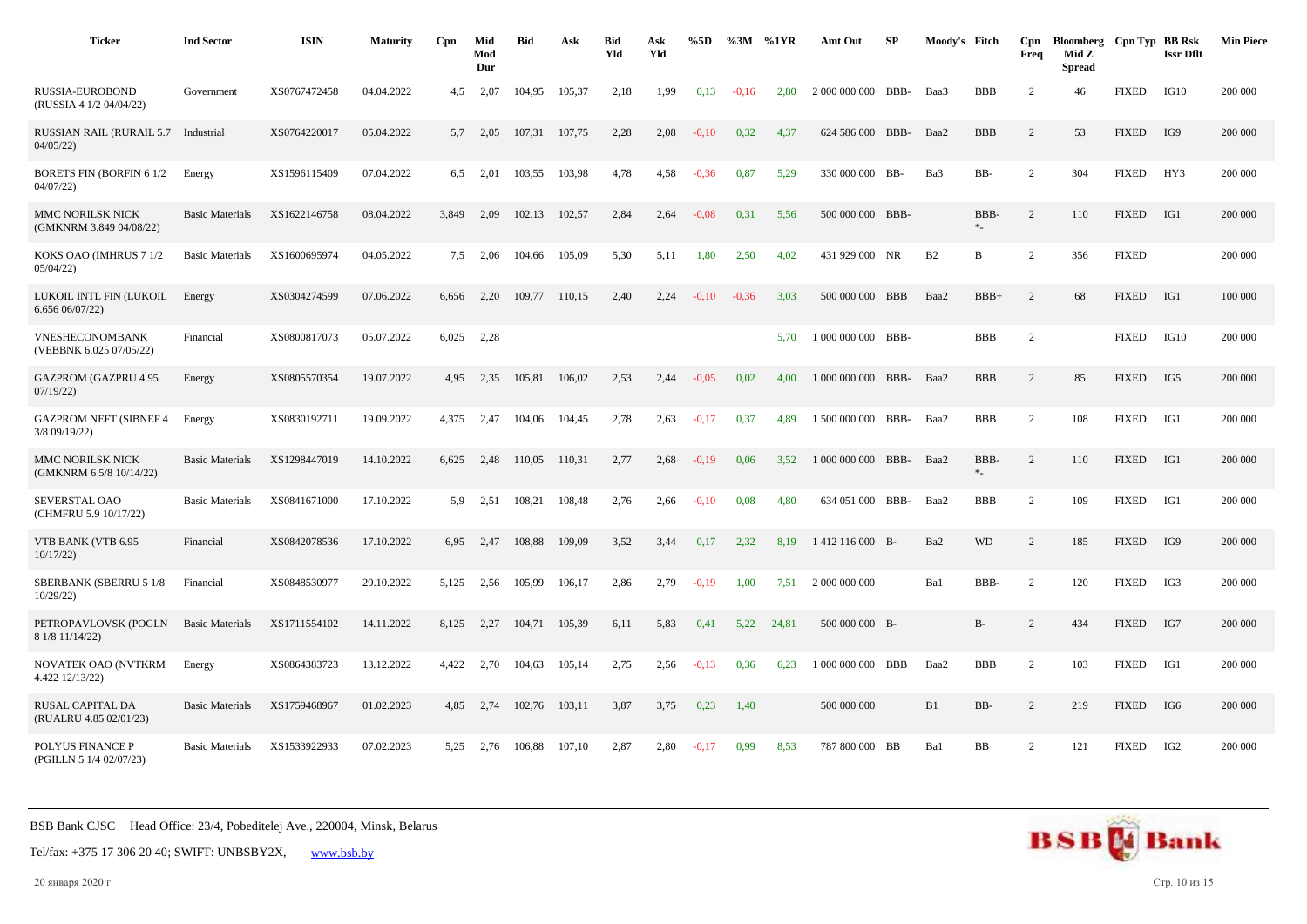| <b>Ticker</b>                                  | <b>Ind Sector</b>      | <b>ISIN</b>  | <b>Maturity</b> | Cpn   | Mid<br>Mod<br>Dur | <b>Bid</b> | Ask    | <b>Bid</b><br>Yld | Ask<br>Yld | %5D     | $\%3M$  | %1YR  | Amt Out            | SP         | Moody's Fitch |             | Cpn<br>Freq    | Bloomberg Cpn Typ BB Rsk<br>Mid Z<br><b>Spread</b> |              | <b>Issr Dflt</b> | <b>Min Piece</b> |
|------------------------------------------------|------------------------|--------------|-----------------|-------|-------------------|------------|--------|-------------------|------------|---------|---------|-------|--------------------|------------|---------------|-------------|----------------|----------------------------------------------------|--------------|------------------|------------------|
| RUSSIA-EUROBOND<br>(RUSSIA 4 1/2 04/04/22)     | Government             | XS0767472458 | 04.04.2022      | 4,5   | 2,07              | 104,95     | 105,37 | 2,18              | 1,99       | 0,13    | $-0.16$ | 2,80  | 2 000 000 000      | BBB-       | Baa3          | <b>BBB</b>  | $\overline{c}$ | 46                                                 | <b>FIXED</b> | IG10             | 200 000          |
| <b>RUSSIAN RAIL (RURAIL 5.7</b><br>04/05/22    | Industrial             | XS0764220017 | 05.04.2022      | 5,7   | 2,05              | 107,31     | 107,75 | 2,28              | 2,08       | $-0,10$ | 0,32    | 4,37  | 624 586 000        | BBB-       | Baa2          | <b>BBB</b>  | 2              | 53                                                 | <b>FIXED</b> | IG9              | 200 000          |
| <b>BORETS FIN (BORFIN 61/2)</b><br>04/07/22    | Energy                 | XS1596115409 | 07.04.2022      | 6.5   | 2.01              | 103,55     | 103,98 | 4,78              | 4,58       | $-0,36$ | 0,87    | 5.29  | 330 000 000 BB-    |            | Ba3           | BB-         | 2              | 304                                                | <b>FIXED</b> | HY3              | 200 000          |
| MMC NORILSK NICK<br>(GMKNRM 3.849 04/08/22)    | <b>Basic Materials</b> | XS1622146758 | 08.04.2022      | 3,849 | 2,09              | 102,13     | 102,57 | 2,84              | 2,64       | $-0.08$ | 0.31    | 5,56  | 500 000 000 BBB-   |            |               | BBB-<br>$*$ | 2              | 110                                                | <b>FIXED</b> | IG1              | 200 000          |
| KOKS OAO (IMHRUS 7 1/2<br>05/04/22             | <b>Basic Materials</b> | XS1600695974 | 04.05.2022      | 7,5   | 2,06              | 104,66     | 105,09 | 5,30              | 5,11       | 1,80    | 2,50    | 4,02  | 431 929 000 NR     |            | B2            | B           | $\overline{2}$ | 356                                                | <b>FIXED</b> |                  | 200 000          |
| LUKOIL INTL FIN (LUKOIL<br>6.65606/07/22       | Energy                 | XS0304274599 | 07.06.2022      | 6.656 | 2,20              | 109.77     | 110.15 | 2.40              | 2,24       | $-0.10$ | $-0,36$ | 3.03  | 500 000 000        | <b>BBB</b> | Baa2          | $BBB+$      | 2              | 68                                                 | <b>FIXED</b> | IG1              | 100 000          |
| VNESHECONOMBANK<br>(VEBBNK 6.025 07/05/22)     | Financial              | XS0800817073 | 05.07.2022      | 6,025 | 2,28              |            |        |                   |            |         |         | 5,70  | 1 000 000 000 BBB- |            |               | <b>BBB</b>  | 2              |                                                    | <b>FIXED</b> | IG10             | 200 000          |
| <b>GAZPROM (GAZPRU 4.95</b><br>07/19/22        | Energy                 | XS0805570354 | 19.07.2022      | 4.95  | 2,35              | 105.81     | 106,02 | 2,53              | 2,44       | $-0.05$ | 0,02    | 4.00  | 1 000 000 000 BBB- |            | Baa2          | <b>BBB</b>  | $\overline{2}$ | 85                                                 | <b>FIXED</b> | IG5              | 200 000          |
| <b>GAZPROM NEFT (SIBNEF 4</b><br>3/8 09/19/22) | Energy                 | XS0830192711 | 19.09.2022      | 4,375 | 2,47              | 104,06     | 104,45 | 2,78              | 2,63       | $-0,17$ | 0,37    | 4.89  | 1 500 000 000 BBB- |            | Baa2          | <b>BBB</b>  | 2              | 108                                                | <b>FIXED</b> | IG1              | 200 000          |
| MMC NORILSK NICK<br>(GMKNRM 6 5/8 10/14/22)    | <b>Basic Materials</b> | XS1298447019 | 14.10.2022      | 6,625 | 2,48              | 110,05     | 110,31 | 2,77              | 2,68       | $-0,19$ | 0,06    | 3,52  | 1 000 000 000 BBB- |            | Baa2          | BBB-<br>$*$ | 2              | 110                                                | <b>FIXED</b> | IG1              | 200 000          |
| SEVERSTAL OAO<br>(CHMFRU 5.9 10/17/22)         | <b>Basic Materials</b> | XS0841671000 | 17.10.2022      | 5.9   | 2,51              | 108,21     | 108,48 | 2,76              | 2,66       | $-0.10$ | 0.08    | 4,80  | 634 051 000 BBB-   |            | Baa2          | <b>BBB</b>  | 2              | 109                                                | <b>FIXED</b> | IG1              | 200 000          |
| VTB BANK (VTB 6.95<br>10/17/22                 | Financial              | XS0842078536 | 17.10.2022      | 6,95  | 2,47              | 108,88     | 109,09 | 3,52              | 3,44       | 0,17    | 2.32    | 8.19  | 1412 116 000 B-    |            | Ba2           | <b>WD</b>   | $\overline{c}$ | 185                                                | <b>FIXED</b> | IG9              | 200 000          |
| <b>SBERBANK (SBERRU 5 1/8</b><br>10/29/22      | Financial              | XS0848530977 | 29.10.2022      | 5,125 | 2,56              | 105,99     | 106,17 | 2,86              | 2,79       | $-0,19$ | 1,00    | 7,51  | 2 000 000 000      |            | Ba1           | BBB-        | 2              | 120                                                | <b>FIXED</b> | IG3              | 200 000          |
| PETROPAVLOVSK (POGLN<br>8 1/8 11/14/22)        | <b>Basic Materials</b> | XS1711554102 | 14.11.2022      | 8,125 | 2,27              | 104,71     | 105,39 | 6,11              | 5,83       | 0,41    | 5,22    | 24,81 | 500 000 000 B-     |            |               | $B-$        | $\overline{2}$ | 434                                                | <b>FIXED</b> | IG7              | 200 000          |
| NOVATEK OAO (NVTKRM<br>4.422 12/13/22)         | Energy                 | XS0864383723 | 13.12.2022      | 4,422 | 2,70              | 104,63     | 105,14 | 2,75              | 2,56       | $-0,13$ | 0,36    | 6,23  | 1 000 000 000 BBB  |            | Baa2          | <b>BBB</b>  | $\overline{2}$ | 103                                                | <b>FIXED</b> | IG1              | 200 000          |
| RUSAL CAPITAL DA<br>(RUALRU 4.85 02/01/23)     | <b>Basic Materials</b> | XS1759468967 | 01.02.2023      | 4.85  | 2,74              | 102,76     | 103,11 | 3,87              | 3,75       | 0,23    | 1,40    |       | 500 000 000        |            | B1            | BB-         | 2              | 219                                                | <b>FIXED</b> | IG6              | 200 000          |
| POLYUS FINANCE P<br>(PGILLN 5 1/4 02/07/23)    | <b>Basic Materials</b> | XS1533922933 | 07.02.2023      | 5,25  | 2,76              | 106,88     | 107,10 | 2,87              | 2,80       | $-0,17$ | 0,99    | 8,53  | 787 800 000 BB     |            | Ba1           | <b>BB</b>   | 2              | 121                                                | <b>FIXED</b> | IG <sub>2</sub>  | 200 000          |



20 января 2020 г. Стр. 10 из 15

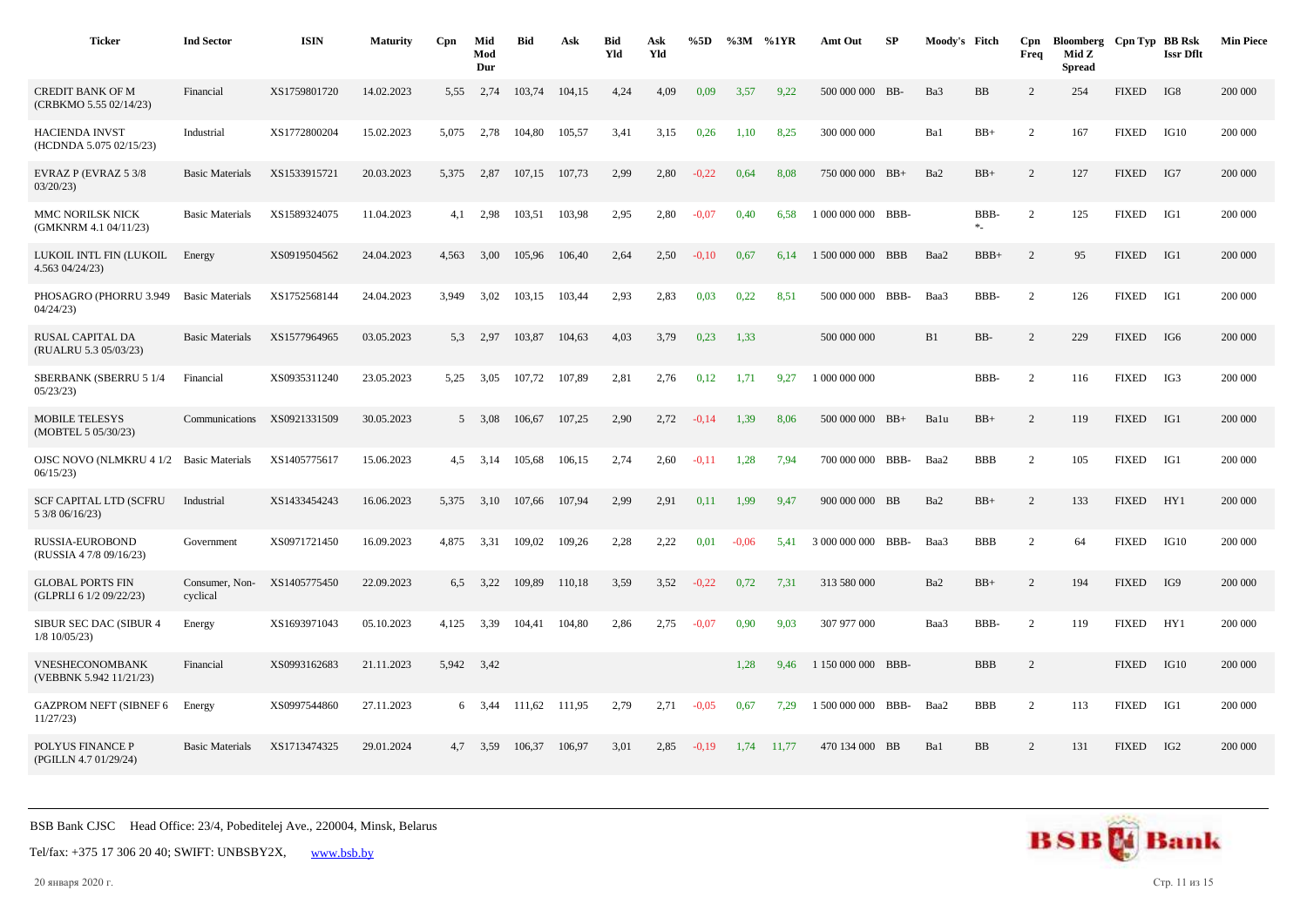| <b>Ticker</b>                                       | <b>Ind Sector</b>          | <b>ISIN</b>  | <b>Maturity</b> | Cpn   | Mid<br>Mod<br>Dur | <b>Bid</b> | Ask    | <b>Bid</b><br>Yld | Ask<br>Yld | %5D     |         | %3M %1YR | Amt Out            | SP | Moody's Fitch |                  | Cpn<br>Freq    | Bloomberg Cpn Typ BB Rsk<br>Mid Z<br><b>Spread</b> |              | <b>Issr Dflt</b> | <b>Min Piece</b> |
|-----------------------------------------------------|----------------------------|--------------|-----------------|-------|-------------------|------------|--------|-------------------|------------|---------|---------|----------|--------------------|----|---------------|------------------|----------------|----------------------------------------------------|--------------|------------------|------------------|
| <b>CREDIT BANK OF M</b><br>(CRBKMO 5.55 02/14/23)   | Financial                  | XS1759801720 | 14.02.2023      | 5,55  | 2,74              | 103,74     | 104.15 | 4,24              | 4,09       | 0.09    | 3,57    | 9,22     | 500 000 000 BB-    |    | Ba3           | BB               | 2              | 254                                                | <b>FIXED</b> | IG8              | 200 000          |
| <b>HACIENDA INVST</b><br>(HCDNDA 5.075 02/15/23)    | Industrial                 | XS1772800204 | 15.02.2023      | 5,075 | 2,78              | 104,80     | 105,57 | 3,41              | 3,15       | 0,26    | 1,10    | 8,25     | 300 000 000        |    | Ba1           | $BB+$            | 2              | 167                                                | <b>FIXED</b> | IG10             | 200 000          |
| EVRAZ P (EVRAZ 5 3/8<br>03/20/23                    | <b>Basic Materials</b>     | XS1533915721 | 20.03.2023      | 5,375 | 2,87              | 107,15     | 107,73 | 2,99              | 2,80       | $-0,22$ | 0.64    | 8,08     | 750 000 000 BB+    |    | Ba2           | $BB+$            | 2              | 127                                                | <b>FIXED</b> | IG7              | 200 000          |
| MMC NORILSK NICK<br>(GMKNRM 4.1 04/11/23)           | <b>Basic Materials</b>     | XS1589324075 | 11.04.2023      | 4,1   | 2,98              | 103,51     | 103,98 | 2,95              | 2,80       | $-0,07$ | 0,40    | 6,58     | 1 000 000 000 BBB- |    |               | BBB-<br>$\ast_-$ | $\overline{2}$ | 125                                                | <b>FIXED</b> | IG1              | 200 000          |
| LUKOIL INTL FIN (LUKOIL<br>4.563 04/24/23)          | Energy                     | XS0919504562 | 24.04.2023      | 4.563 | 3.00              | 105.96     | 106.40 | 2,64              | 2,50       | $-0.10$ | 0.67    | 6.14     | 1 500 000 000 BBB  |    | Baa2          | $BBB+$           | 2              | 95                                                 | <b>FIXED</b> | IG1              | 200 000          |
| PHOSAGRO (PHORRU 3.949<br>04/24/23                  | <b>Basic Materials</b>     | XS1752568144 | 24.04.2023      | 3.949 | 3,02              | 103,15     | 103,44 | 2,93              | 2,83       | 0,03    | 0.22    | 8.51     | 500 000 000 BBB-   |    | Baa3          | BBB-             | 2              | 126                                                | <b>FIXED</b> | IG1              | 200 000          |
| RUSAL CAPITAL DA<br>(RUALRU 5.3 05/03/23)           | <b>Basic Materials</b>     | XS1577964965 | 03.05.2023      | 5.3   | 2,97              | 103,87     | 104,63 | 4,03              | 3,79       | 0,23    | 1,33    |          | 500 000 000        |    | B1            | BB-              | 2              | 229                                                | <b>FIXED</b> | IG6              | 200 000          |
| <b>SBERBANK (SBERRU 5 1/4</b><br>05/23/23           | Financial                  | XS0935311240 | 23.05.2023      | 5,25  | 3,05              | 107,72     | 107,89 | 2,81              | 2,76       | 0,12    | 1,71    | 9,27     | 1 000 000 000      |    |               | BBB-             | $\overline{2}$ | 116                                                | <b>FIXED</b> | IG3              | 200 000          |
| <b>MOBILE TELESYS</b><br>(MOBTEL 5 05/30/23)        | Communications             | XS0921331509 | 30.05.2023      |       | 5 3,08            | 106,67     | 107,25 | 2,90              | 2,72       | $-0,14$ | 1,39    | 8,06     | 500 000 000 BB+    |    | Balu          | $BB+$            | 2              | 119                                                | <b>FIXED</b> | IG1              | 200 000          |
| OJSC NOVO (NLMKRU 4 1/2 Basic Materials<br>06/15/23 |                            | XS1405775617 | 15.06.2023      | 4.5   | 3,14              | 105,68     | 106,15 | 2,74              | 2,60       | $-0.11$ | 1,28    | 7.94     | 700 000 000 BBB-   |    | Baa2          | <b>BBB</b>       | $\overline{2}$ | 105                                                | <b>FIXED</b> | IG1              | 200 000          |
| <b>SCF CAPITAL LTD (SCFRU</b><br>5 3/8 06/16/23)    | Industrial                 | XS1433454243 | 16.06.2023      | 5.375 | 3,10              | 107,66     | 107.94 | 2,99              | 2,91       | 0,11    | 1,99    | 9.47     | 900 000 000 BB     |    | Ba2           | $BB+$            | 2              | 133                                                | <b>FIXED</b> | HY1              | 200 000          |
| RUSSIA-EUROBOND<br>(RUSSIA 4 7/8 09/16/23)          | Government                 | XS0971721450 | 16.09.2023      | 4,875 | 3,31              | 109,02     | 109,26 | 2,28              | 2,22       | 0,01    | $-0.06$ | 5,41     | 3 000 000 000 BBB- |    | Baa3          | <b>BBB</b>       | 2              | 64                                                 | <b>FIXED</b> | IG10             | 200 000          |
| <b>GLOBAL PORTS FIN</b><br>(GLPRLI 6 1/2 09/22/23)  | Consumer, Non-<br>cyclical | XS1405775450 | 22.09.2023      | 6,5   | 3,22              | 109,89     | 110,18 | 3,59              | 3,52       | $-0,22$ | 0,72    | 7,31     | 313 580 000        |    | Ba2           | $BB+$            | 2              | 194                                                | <b>FIXED</b> | IG9              | 200 000          |
| SIBUR SEC DAC (SIBUR 4<br>$1/8$ 10/05/23)           | Energy                     | XS1693971043 | 05.10.2023      | 4.125 | 3,39              | 104.41     | 104,80 | 2,86              | 2,75       | $-0,07$ | 0,90    | 9,03     | 307 977 000        |    | Baa3          | BBB-             | $\overline{c}$ | 119                                                | <b>FIXED</b> | HY1              | 200 000          |
| VNESHECONOMBANK<br>(VEBBNK 5.942 11/21/23)          | Financial                  | XS0993162683 | 21.11.2023      | 5,942 | 3,42              |            |        |                   |            |         | 1,28    | 9,46     | 1 150 000 000 BBB- |    |               | <b>BBB</b>       | 2              |                                                    | <b>FIXED</b> | IG10             | 200 000          |
| <b>GAZPROM NEFT (SIBNEF 6</b><br>11/27/23           | Energy                     | XS0997544860 | 27.11.2023      |       | 6 3,44            | 111,62     | 111,95 | 2,79              | 2,71       | $-0.05$ | 0.67    | 7,29     | 1 500 000 000 BBB- |    | Baa2          | <b>BBB</b>       | 2              | 113                                                | <b>FIXED</b> | IG1              | 200 000          |
| POLYUS FINANCE P<br>(PGILLN 4.7 01/29/24)           | <b>Basic Materials</b>     | XS1713474325 | 29.01.2024      | 4,7   | 3,59              | 106,37     | 106,97 | 3,01              | 2,85       | $-0,19$ | 1,74    | 11,77    | 470 134 000 BB     |    | Ba1           | BB               | 2              | 131                                                | <b>FIXED</b> | IG <sub>2</sub>  | 200 000          |



20 января 2020 г. Стр. 11 из 15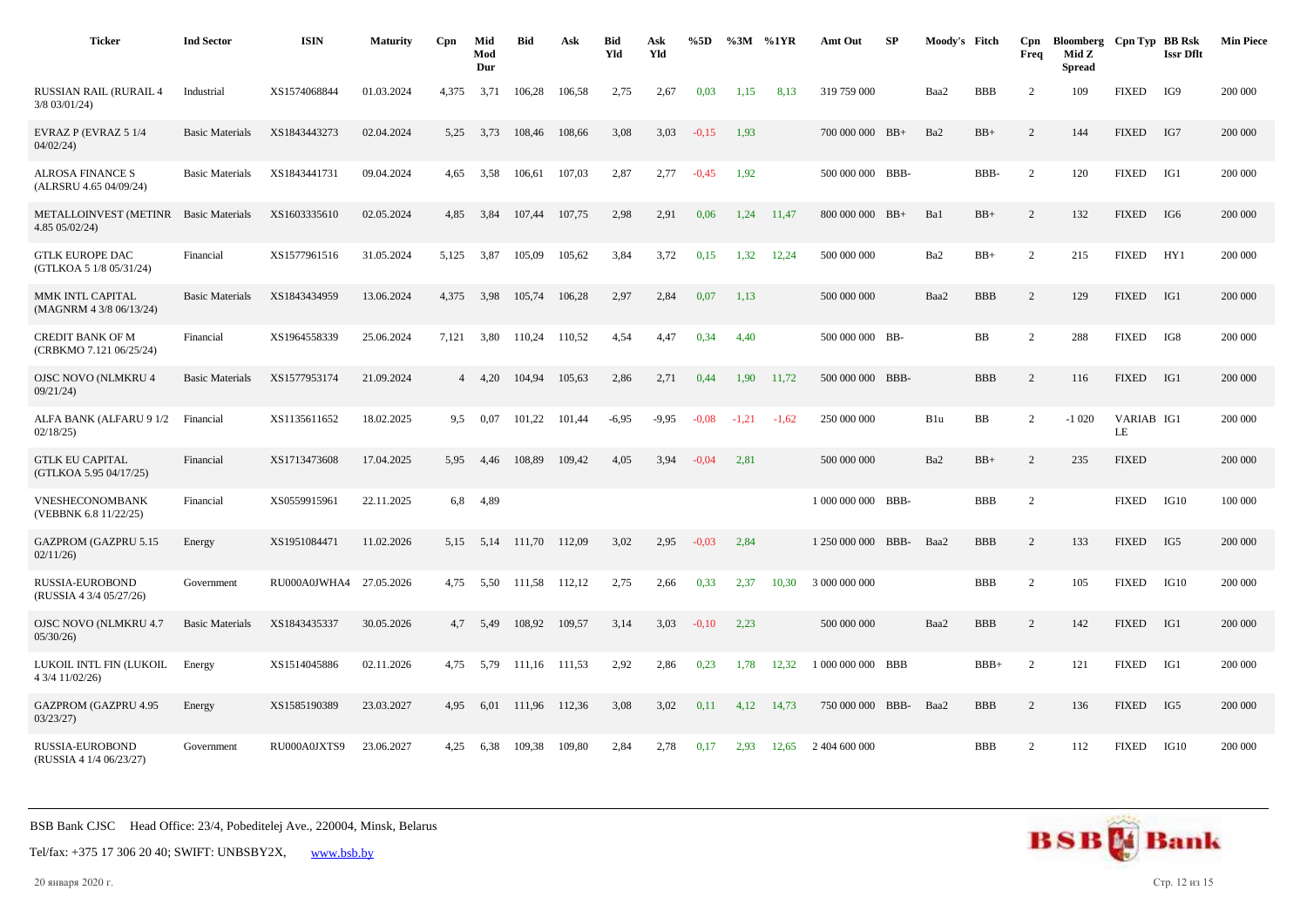| <b>Ticker</b>                                      | <b>Ind Sector</b>      | <b>ISIN</b>  | <b>Maturity</b> | Cpn   | Mid<br>Mod<br>Dur | <b>Bid</b>    | Ask    | <b>Bid</b><br>Yld | Ask<br>Yld | %5D     | %3M %1YR |         | Amt Out            | SP   | Moody's Fitch |            | Cpn<br>Freq    | Bloomberg Cpn Typ BB Rsk<br>Mid Z<br><b>Spread</b> |                  | <b>Issr Dflt</b> | <b>Min Piece</b> |
|----------------------------------------------------|------------------------|--------------|-----------------|-------|-------------------|---------------|--------|-------------------|------------|---------|----------|---------|--------------------|------|---------------|------------|----------------|----------------------------------------------------|------------------|------------------|------------------|
| <b>RUSSIAN RAIL (RURAIL 4</b><br>$3/8$ 03/01/24)   | Industrial             | XS1574068844 | 01.03.2024      | 4,375 | 3,71              | 106,28        | 106,58 | 2,75              | 2,67       | 0,03    | 1,15     | 8,13    | 319 759 000        |      | Baa2          | <b>BBB</b> | $\overline{2}$ | 109                                                | <b>FIXED</b>     | IG9              | 200 000          |
| EVRAZ P (EVRAZ 5 1/4<br>04/02/24                   | <b>Basic Materials</b> | XS1843443273 | 02.04.2024      | 5,25  | 3,73              | 108,46        | 108,66 | 3,08              | 3,03       | $-0,15$ | 1,93     |         | 700 000 000 BB+    |      | Ba2           | $BB+$      | 2              | 144                                                | <b>FIXED</b>     | IG7              | 200 000          |
| <b>ALROSA FINANCE S</b><br>(ALRSRU 4.65 04/09/24)  | <b>Basic Materials</b> | XS1843441731 | 09.04.2024      | 4.65  | 3,58              | 106,61        | 107,03 | 2,87              | 2,77       | $-0.45$ | 1,92     |         | 500 000 000 BBB-   |      |               | BBB-       | 2              | 120                                                | <b>FIXED</b>     | IG1              | 200 000          |
| <b>METALLOINVEST (METINR</b><br>4.85 05/02/24)     | <b>Basic Materials</b> | XS1603335610 | 02.05.2024      | 4,85  | 3,84              | 107,44        | 107,75 | 2,98              | 2,91       | 0,06    | 1,24     | 11,47   | 800 000 000 BB+    |      | Ba1           | $BB+$      | $\overline{2}$ | 132                                                | <b>FIXED</b>     | IG6              | 200 000          |
| <b>GTLK EUROPE DAC</b><br>(GTLKOA 5 1/8 05/31/24)  | Financial              | XS1577961516 | 31.05.2024      | 5.125 | 3,87              | 105.09        | 105,62 | 3,84              | 3,72       | 0,15    | 1,32     | 12,24   | 500 000 000        |      | Ba2           | $BB+$      | $\overline{2}$ | 215                                                | <b>FIXED</b>     | HY1              | 200 000          |
| MMK INTL CAPITAL<br>(MAGNRM 4 3/8 06/13/24)        | <b>Basic Materials</b> | XS1843434959 | 13.06.2024      | 4,375 | 3,98              | 105,74        | 106,28 | 2,97              | 2,84       | 0,07    | 1,13     |         | 500 000 000        |      | Baa2          | <b>BBB</b> | 2              | 129                                                | <b>FIXED</b>     | IG1              | 200 000          |
| <b>CREDIT BANK OF M</b><br>(CRBKMO 7.121 06/25/24) | Financial              | XS1964558339 | 25.06.2024      | 7,121 | 3,80              | 110.24        | 110.52 | 4,54              | 4,47       | 0,34    | 4.40     |         | 500 000 000 BB-    |      |               | BB         | $\overline{2}$ | 288                                                | <b>FIXED</b>     | IG8              | 200 000          |
| <b>OJSC NOVO (NLMKRU 4</b><br>09/21/24             | <b>Basic Materials</b> | XS1577953174 | 21.09.2024      |       | 4, 4, 20          | 104,94        | 105,63 | 2,86              | 2,71       | 0,44    | 1,90     | 11,72   | 500 000 000 BBB-   |      |               | <b>BBB</b> | $\overline{c}$ | 116                                                | <b>FIXED</b>     | IG1              | 200 000          |
| ALFA BANK (ALFARU 9 1/2<br>02/18/25                | Financial              | XS1135611652 | 18.02.2025      | 9,5   | 0,07              | 101,22        | 101,44 | $-6,95$           | $-9,95$    | $-0.08$ | $-1,21$  | $-1,62$ | 250 000 000        |      | B1u           | BB         | $\overline{c}$ | $-1020$                                            | VARIAB IG1<br>LE |                  | 200 000          |
| <b>GTLK EU CAPITAL</b><br>(GTLKOA 5.95 04/17/25)   | Financial              | XS1713473608 | 17.04.2025      | 5,95  | 4,46              | 108,89        | 109,42 | 4,05              | 3,94       | $-0.04$ | 2,81     |         | 500 000 000        |      | Ba2           | $BB+$      | $\overline{2}$ | 235                                                | <b>FIXED</b>     |                  | 200 000          |
| VNESHECONOMBANK<br>(VEBBNK 6.8 11/22/25)           | Financial              | XS0559915961 | 22.11.2025      | 6,8   | 4,89              |               |        |                   |            |         |          |         | 1 000 000 000 BBB- |      |               | <b>BBB</b> | $\overline{2}$ |                                                    | <b>FIXED</b>     | IG10             | 100 000          |
| <b>GAZPROM (GAZPRU 5.15</b><br>02/11/26            | Energy                 | XS1951084471 | 11.02.2026      | 5.15  | 5,14              | 111.70        | 112.09 | 3,02              | 2,95       | $-0.03$ | 2,84     |         | 1 250 000 000      | BBB- | Baa2          | <b>BBB</b> | $\overline{c}$ | 133                                                | <b>FIXED</b>     | IG5              | 200 000          |
| RUSSIA-EUROBOND<br>(RUSSIA 4 3/4 05/27/26)         | Government             | RU000A0JWHA4 | 27.05.2026      | 4,75  | 5,50              | 111,58        | 112,12 | 2,75              | 2,66       | 0,33    | 2,37     | 10,30   | 3 000 000 000      |      |               | <b>BBB</b> | $\overline{2}$ | 105                                                | <b>FIXED</b>     | IG10             | 200 000          |
| <b>OJSC NOVO (NLMKRU 4.7</b><br>05/30/26           | <b>Basic Materials</b> | XS1843435337 | 30.05.2026      | 4.7   | 5,49              | 108,92        | 109,57 | 3,14              | 3,03       | $-0,10$ | 2,23     |         | 500 000 000        |      | Baa2          | <b>BBB</b> | 2              | 142                                                | <b>FIXED</b>     | IG1              | 200 000          |
| LUKOIL INTL FIN (LUKOIL<br>4 3/4 11/02/26)         | Energy                 | XS1514045886 | 02.11.2026      | 4,75  | 5,79              | 111,16 111,53 |        | 2,92              | 2,86       | 0,23    | 1,78     | 12,32   | 1 000 000 000 BBB  |      |               | $BBB+$     | $\overline{2}$ | 121                                                | <b>FIXED</b>     | IG1              | 200 000          |
| <b>GAZPROM (GAZPRU 4.95</b><br>03/23/27            | Energy                 | XS1585190389 | 23.03.2027      | 4.95  | 6.01              | 111.96        | 112.36 | 3.08              | 3,02       | 0,11    | 4.12     | 14.73   | 750 000 000 BBB-   |      | Baa2          | <b>BBB</b> | 2              | 136                                                | <b>FIXED</b>     | IG5              | 200 000          |
| RUSSIA-EUROBOND<br>(RUSSIA 4 1/4 06/23/27)         | Government             | RU000A0JXTS9 | 23.06.2027      | 4.25  | 6,38              | 109,38        | 109,80 | 2,84              | 2,78       | 0,17    | 2,93     | 12,65   | 2 404 600 000      |      |               | <b>BBB</b> | $\overline{2}$ | 112                                                | <b>FIXED</b>     | IG10             | 200 000          |

Tel/fax: +375 17 306 20 40; SWIFT: UNBSBY2X, [www.bsb.by](https://www.bsb.by/)

20 января 2020 г. Стр. 12 из 15

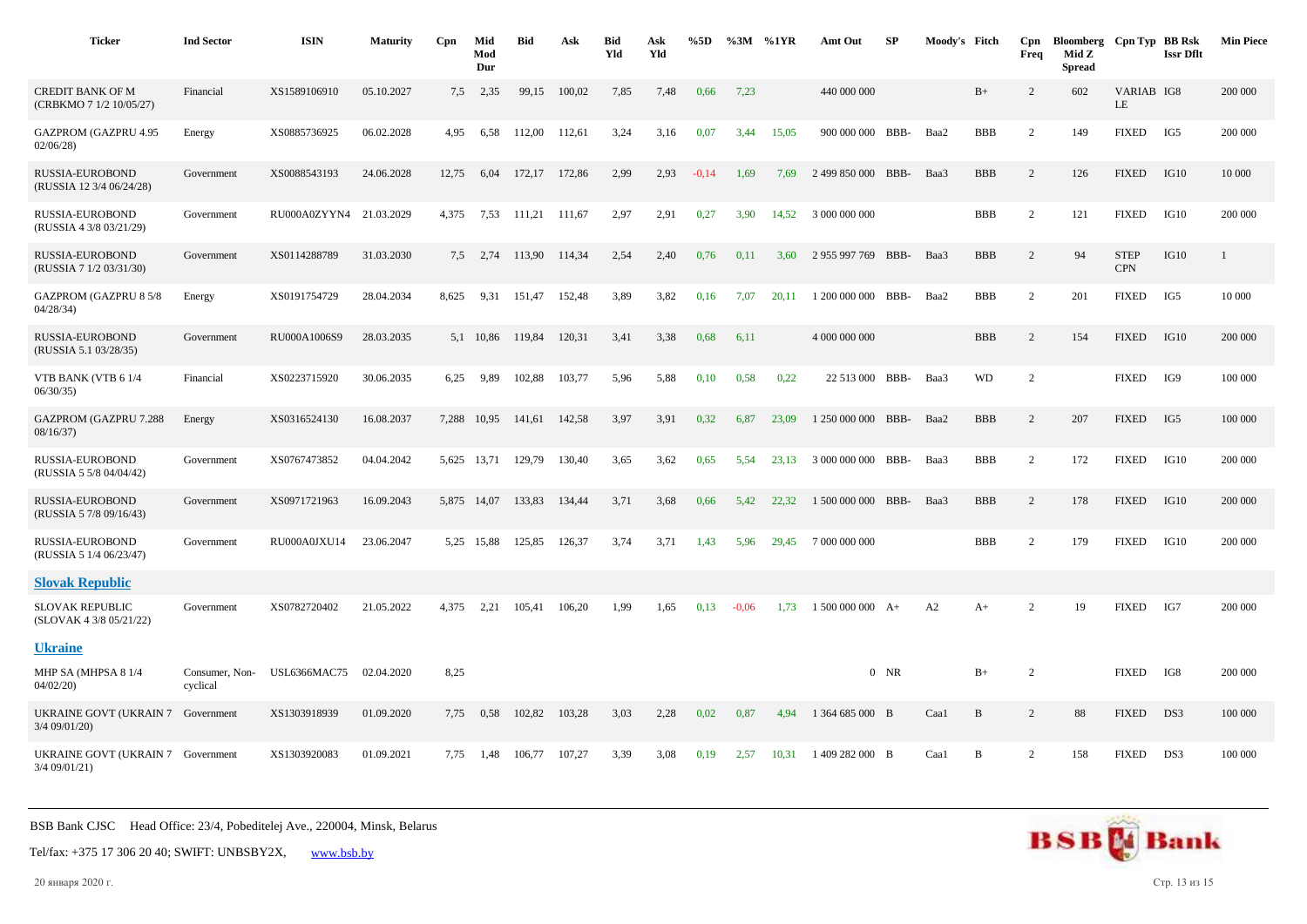| <b>Ticker</b>                                        | <b>Ind Sector</b>          | <b>ISIN</b>             | <b>Maturity</b> | Cpn   | Mid<br>Mod<br>Dur | <b>Bid</b> | Ask    | <b>Bid</b><br>Yld | Ask<br>Yld | %5D     |         | $\%3M$ %1YR | Amt Out            | SP     | Moody's Fitch |            | Cpn<br>Freq    | Bloomberg Cpn Typ BB Rsk<br>Mid Z<br><b>Spread</b> |                           | <b>Issr Dflt</b> | <b>Min Piece</b> |
|------------------------------------------------------|----------------------------|-------------------------|-----------------|-------|-------------------|------------|--------|-------------------|------------|---------|---------|-------------|--------------------|--------|---------------|------------|----------------|----------------------------------------------------|---------------------------|------------------|------------------|
| <b>CREDIT BANK OF M</b><br>(CRBKMO 7 1/2 10/05/27)   | Financial                  | XS1589106910            | 05.10.2027      | 7,5   | 2,35              | 99,15      | 100.02 | 7,85              | 7,48       | 0,66    | 7,23    |             | 440 000 000        |        |               | $B+$       | 2              | 602                                                | VARIAB IG8<br>LE          |                  | 200 000          |
| GAZPROM (GAZPRU 4.95<br>02/06/28                     | Energy                     | XS0885736925            | 06.02.2028      | 4,95  | 6,58              | 112,00     | 112,61 | 3,24              | 3,16       | 0,07    | 3,44    | 15,05       | 900 000 000 BBB-   |        | Baa2          | <b>BBB</b> | 2              | 149                                                | <b>FIXED</b>              | IG5              | 200 000          |
| RUSSIA-EUROBOND<br>(RUSSIA 12 3/4 06/24/28)          | Government                 | XS0088543193            | 24.06.2028      | 12,75 | 6,04              | 172,17     | 172,86 | 2,99              | 2,93       | $-0,14$ | 1,69    | 7,69        | 2 499 850 000 BBB- |        | Baa3          | <b>BBB</b> | 2              | 126                                                | <b>FIXED</b>              | IG10             | 10 000           |
| RUSSIA-EUROBOND<br>(RUSSIA 4 3/8 03/21/29)           | Government                 | RU000A0ZYYN4 21.03.2029 |                 | 4,375 | 7,53              | 111,21     | 111,67 | 2,97              | 2,91       | 0,27    | 3,90    | 14,52       | 3 000 000 000      |        |               | <b>BBB</b> | 2              | 121                                                | <b>FIXED</b>              | IG10             | 200 000          |
| RUSSIA-EUROBOND<br>(RUSSIA 7 1/2 03/31/30)           | Government                 | XS0114288789            | 31.03.2030      | 7,5   | 2,74              | 113,90     | 114,34 | 2,54              | 2,40       | 0,76    | 0,11    | 3,60        | 2 955 997 769 BBB- |        | Baa3          | <b>BBB</b> | $\overline{c}$ | 94                                                 | <b>STEP</b><br><b>CPN</b> | IG10             | 1                |
| <b>GAZPROM (GAZPRU 8 5/8</b><br>04/28/34             | Energy                     | XS0191754729            | 28.04.2034      | 8,625 | 9,31              | 151,47     | 152,48 | 3,89              | 3,82       | 0,16    | 7,07    | 20,11       | 1 200 000 000 BBB- |        | Baa2          | <b>BBB</b> | 2              | 201                                                | <b>FIXED</b>              | IG5              | 10 000           |
| <b>RUSSIA-EUROBOND</b><br>(RUSSIA 5.1 03/28/35)      | Government                 | RU000A1006S9            | 28.03.2035      |       | 5,1 10,86         | 119,84     | 120,31 | 3,41              | 3,38       | 0,68    | 6,11    |             | 4 000 000 000      |        |               | <b>BBB</b> | 2              | 154                                                | <b>FIXED</b>              | IG10             | 200 000          |
| VTB BANK (VTB 6 1/4<br>06/30/35                      | Financial                  | XS0223715920            | 30.06.2035      | 6,25  | 9,89              | 102,88     | 103,77 | 5,96              | 5,88       | 0,10    | 0.58    | 0,22        | 22 513 000 BBB-    |        | Baa3          | <b>WD</b>  | $\overline{c}$ |                                                    | <b>FIXED</b>              | IG9              | 100 000          |
| <b>GAZPROM (GAZPRU 7.288</b><br>08/16/37)            | Energy                     | XS0316524130            | 16.08.2037      | 7,288 | 10,95             | 141,61     | 142,58 | 3,97              | 3,91       | 0,32    | 6,87    | 23.09       | 1 250 000 000 BBB- |        | Baa2          | <b>BBB</b> | 2              | 207                                                | <b>FIXED</b>              | IG5              | 100 000          |
| RUSSIA-EUROBOND<br>(RUSSIA 5 5/8 04/04/42)           | Government                 | XS0767473852            | 04.04.2042      | 5,625 | 13,71             | 129,79     | 130,40 | 3,65              | 3,62       | 0,65    | 5.54    | 23.13       | 3 000 000 000 BBB- |        | Baa3          | <b>BBB</b> | 2              | 172                                                | <b>FIXED</b>              | IG10             | 200 000          |
| RUSSIA-EUROBOND<br>(RUSSIA 5 7/8 09/16/43)           | Government                 | XS0971721963            | 16.09.2043      |       | 5,875 14,07       | 133,83     | 134,44 | 3,71              | 3,68       | 0,66    | 5,42    | 22,32       | 1 500 000 000 BBB- |        | Baa3          | <b>BBB</b> | 2              | 178                                                | <b>FIXED</b>              | IG10             | 200 000          |
| RUSSIA-EUROBOND<br>(RUSSIA 5 1/4 06/23/47)           | Government                 | RU000A0JXU14            | 23.06.2047      |       | 5,25 15,88        | 125,85     | 126,37 | 3,74              | 3,71       | 1,43    | 5,96    | 29,45       | 7 000 000 000      |        |               | <b>BBB</b> | 2              | 179                                                | <b>FIXED</b>              | IG10             | 200 000          |
| <b>Slovak Republic</b>                               |                            |                         |                 |       |                   |            |        |                   |            |         |         |             |                    |        |               |            |                |                                                    |                           |                  |                  |
| <b>SLOVAK REPUBLIC</b><br>(SLOVAK 4 3/8 05/21/22)    | Government                 | XS0782720402            | 21.05.2022      | 4,375 | 2,21              | 105,41     | 106,20 | 1,99              | 1,65       | 0,13    | $-0.06$ | 1,73        | $1500000000 A+$    |        | A2            | $A+$       | 2              | 19                                                 | <b>FIXED</b>              | IG7              | 200 000          |
| <b>Ukraine</b>                                       |                            |                         |                 |       |                   |            |        |                   |            |         |         |             |                    |        |               |            |                |                                                    |                           |                  |                  |
| MHP SA (MHPSA 8 1/4<br>04/02/20                      | Consumer, Non-<br>cyclical | <b>USL6366MAC75</b>     | 02.04.2020      | 8,25  |                   |            |        |                   |            |         |         |             |                    | $0$ NR |               | $B+$       | $\overline{c}$ |                                                    | <b>FIXED</b>              | IG8              | 200 000          |
| UKRAINE GOVT (UKRAIN 7<br>$3/4$ 09/01/20)            | Government                 | XS1303918939            | 01.09.2020      | 7,75  | 0.58              | 102.82     | 103,28 | 3,03              | 2,28       | 0,02    | 0,87    | 4.94        | 1 364 685 000 B    |        | Caa1          | B          | 2              | 88                                                 | <b>FIXED</b>              | DS3              | 100 000          |
| UKRAINE GOVT (UKRAIN 7 Government<br>$3/4$ 09/01/21) |                            | XS1303920083            | 01.09.2021      | 7,75  | 1,48              | 106,77     | 107,27 | 3,39              | 3,08       | 0,19    | 2,57    | 10,31       | 1 409 282 000 B    |        | Caal          | B          | 2              | 158                                                | <b>FIXED</b>              | DS3              | 100 000          |

Tel/fax: +375 17 306 20 40; SWIFT: UNBSBY2X, [www.bsb.by](https://www.bsb.by/)

20 января 2020 г. Стр. 13 из 15

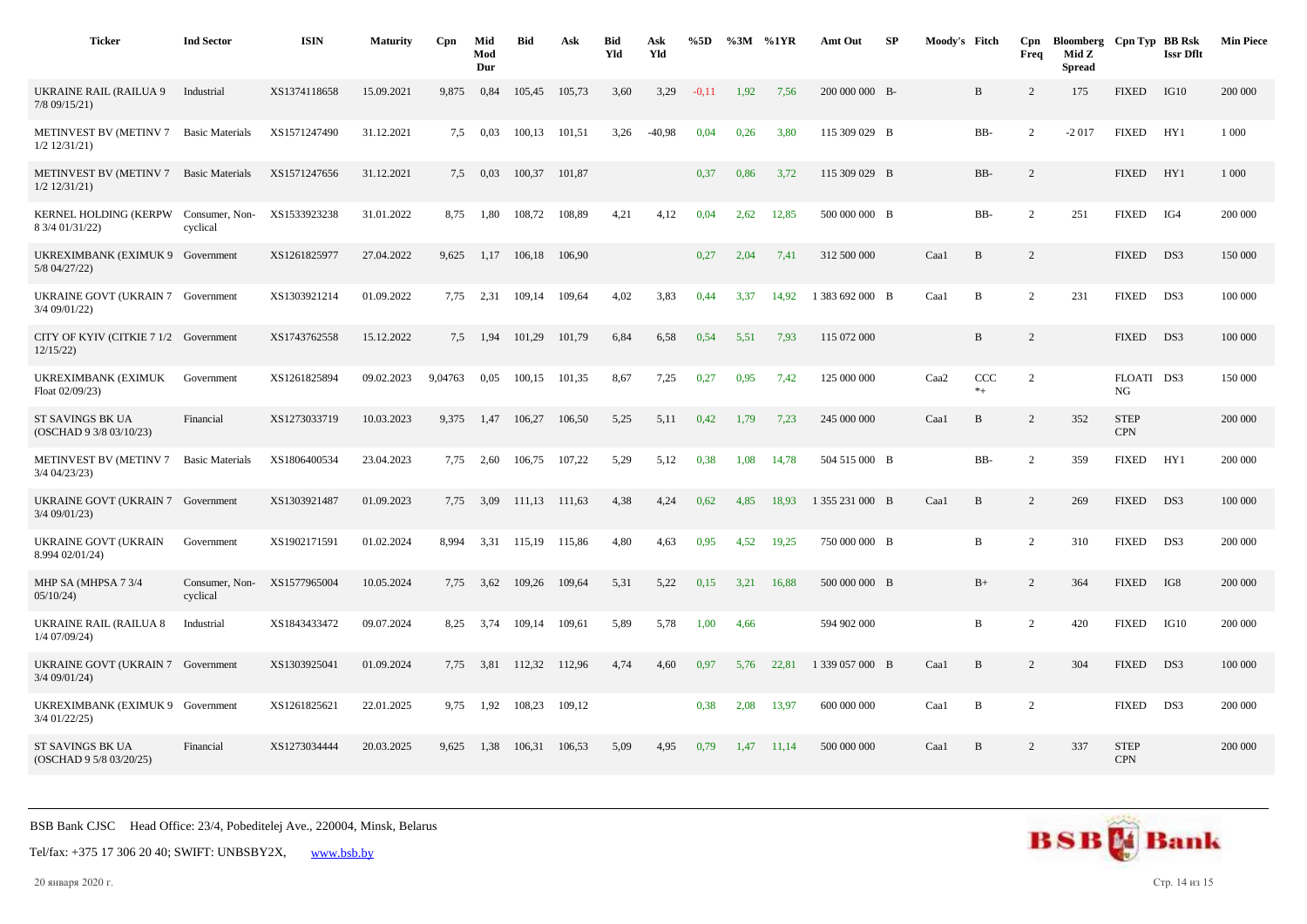| <b>Ticker</b>                                           | <b>Ind Sector</b>          | <b>ISIN</b>  | <b>Maturity</b> | Cpn     | Mid<br>Mod<br>Dur | Bid    | Ask    | <b>Bid</b><br>Yld | Ask<br>Yld | %5D     |      | $\%3M$ %1YR | Amt Out         | <b>SP</b> | Moody's Fitch |                 | Cpn<br>Freq    | Bloomberg Cpn Typ BB Rsk<br>Mid Z<br><b>Spread</b> |                           | <b>Issr Dflt</b> | <b>Min Piece</b> |
|---------------------------------------------------------|----------------------------|--------------|-----------------|---------|-------------------|--------|--------|-------------------|------------|---------|------|-------------|-----------------|-----------|---------------|-----------------|----------------|----------------------------------------------------|---------------------------|------------------|------------------|
| <b>UKRAINE RAIL (RAILUA 9</b><br>$7/8$ 09/15/21)        | Industrial                 | XS1374118658 | 15.09.2021      | 9,875   | 0,84              | 105,45 | 105,73 | 3,60              | 3,29       | $-0,11$ | 1,92 | 7,56        | 200 000 000 B-  |           |               | B               | 2              | 175                                                | <b>FIXED</b>              | IG10             | 200 000          |
| METINVEST BV (METINV 7<br>$1/2$ $12/31/21$ )            | <b>Basic Materials</b>     | XS1571247490 | 31.12.2021      | 7,5     | 0,03              | 100,13 | 101,51 | 3,26              | $-40,98$   | 0,04    | 0,26 | 3,80        | 115 309 029 B   |           |               | BB-             | 2              | $-2017$                                            | <b>FIXED</b>              | HY <sub>1</sub>  | 1 0 0 0          |
| <b>METINVEST BV (METINV 7</b><br>$1/2$ $12/31/21$       | <b>Basic Materials</b>     | XS1571247656 | 31.12.2021      | 7.5     | 0,03              | 100,37 | 101,87 |                   |            | 0,37    | 0,86 | 3,72        | 115 309 029 B   |           |               | BB-             | $\overline{2}$ |                                                    | <b>FIXED</b>              | HY1              | 1 000            |
| KERNEL HOLDING (KERPW Consumer, Non-<br>8 3/4 01/31/22) | cyclical                   | XS1533923238 | 31.01.2022      | 8,75    | 1,80              | 108,72 | 108,89 | 4,21              | 4,12       | 0,04    | 2,62 | 12,85       | 500 000 000 B   |           |               | BB-             | 2              | 251                                                | <b>FIXED</b>              | IG4              | 200 000          |
| UKREXIMBANK (EXIMUK 9 Government<br>5/8 04/27/22)       |                            | XS1261825977 | 27.04.2022      | 9,625   | 1,17              | 106,18 | 106,90 |                   |            | 0,27    | 2,04 | 7,41        | 312 500 000     |           | Caal          | $\, {\bf B}$    | 2              |                                                    | <b>FIXED</b>              | DS3              | 150 000          |
| UKRAINE GOVT (UKRAIN 7 Government<br>3/4 09/01/22)      |                            | XS1303921214 | 01.09.2022      | 7,75    | 2,31              | 109,14 | 109,64 | 4,02              | 3,83       | 0,44    | 3,37 | 14,92       | 1 383 692 000 B |           | Caa1          | $\mathbf B$     | 2              | 231                                                | <b>FIXED</b>              | DS3              | 100 000          |
| CITY OF KYIV (CITKIE 7 1/2 Government<br>12/15/22       |                            | XS1743762558 | 15.12.2022      | 7,5     | 1,94              | 101,29 | 101,79 | 6,84              | 6,58       | 0,54    | 5,51 | 7,93        | 115 072 000     |           |               | $\, {\bf B}$    | 2              |                                                    | <b>FIXED</b>              | DS3              | 100 000          |
| UKREXIMBANK (EXIMUK<br>Float 02/09/23)                  | Government                 | XS1261825894 | 09.02.2023      | 9,04763 | 0,05              | 100,15 | 101,35 | 8,67              | 7,25       | 0,27    | 0,95 | 7,42        | 125 000 000     |           | Caa2          | CCC<br>$\ast_+$ | 2              |                                                    | FLOATI DS3<br>NG          |                  | 150 000          |
| ST SAVINGS BK UA<br>(OSCHAD 9 3/8 03/10/23)             | Financial                  | XS1273033719 | 10.03.2023      | 9,375   | 1,47              | 106,27 | 106,50 | 5,25              | 5,11       | 0,42    | 1,79 | 7,23        | 245 000 000     |           | Caal          | B               | 2              | 352                                                | <b>STEP</b><br><b>CPN</b> |                  | 200 000          |
| METINVEST BV (METINV 7<br>3/4 04/23/23)                 | <b>Basic Materials</b>     | XS1806400534 | 23.04.2023      | 7,75    | 2,60              | 106,75 | 107,22 | 5,29              | 5,12       | 0,38    | 1,08 | 14,78       | 504 515 000 B   |           |               | BB-             | 2              | 359                                                | <b>FIXED</b>              | HY1              | 200 000          |
| UKRAINE GOVT (UKRAIN 7 Government<br>3/4 09/01/23)      |                            | XS1303921487 | 01.09.2023      | 7,75    | 3,09              | 111,13 | 111,63 | 4,38              | 4,24       | 0,62    | 4,85 | 18,93       | 1 355 231 000 B |           | Caa1          | B               | $\overline{2}$ | 269                                                | <b>FIXED</b>              | DS3              | 100 000          |
| <b>UKRAINE GOVT (UKRAIN</b><br>8.994 02/01/24)          | Government                 | XS1902171591 | 01.02.2024      | 8.994   | 3,31              | 115,19 | 115,86 | 4,80              | 4,63       | 0,95    | 4,52 | 19,25       | 750 000 000 B   |           |               | B               | $\overline{2}$ | 310                                                | <b>FIXED</b>              | DS3              | 200 000          |
| MHP SA (MHPSA 7 3/4<br>05/10/24                         | Consumer, Non-<br>cyclical | XS1577965004 | 10.05.2024      | 7,75    | 3,62              | 109,26 | 109,64 | 5,31              | 5,22       | 0,15    | 3,21 | 16,88       | 500 000 000 B   |           |               | $B+$            | 2              | 364                                                | <b>FIXED</b>              | IG8              | 200 000          |
| <b>UKRAINE RAIL (RAILUA 8</b><br>1/4 07/09/24)          | Industrial                 | XS1843433472 | 09.07.2024      | 8,25    | 3,74              | 109,14 | 109,61 | 5,89              | 5,78       | 1,00    | 4,66 |             | 594 902 000     |           |               | B               | $\overline{2}$ | 420                                                | <b>FIXED</b>              | IG10             | 200 000          |
| UKRAINE GOVT (UKRAIN 7 Government<br>$3/4$ 09/01/24)    |                            | XS1303925041 | 01.09.2024      | 7,75    | 3,81              | 112,32 | 112,96 | 4,74              | 4,60       | 0,97    | 5,76 | 22,81       | 1 339 057 000 B |           | Caa1          | B               | 2              | 304                                                | <b>FIXED</b>              | DS3              | 100 000          |
| UKREXIMBANK (EXIMUK 9 Government<br>3/4 01/22/25)       |                            | XS1261825621 | 22.01.2025      | 9,75    | 1,92              | 108,23 | 109,12 |                   |            | 0,38    | 2,08 | 13,97       | 600 000 000     |           | Caal          | B               | $\overline{2}$ |                                                    | <b>FIXED</b>              | DS3              | 200 000          |
| ST SAVINGS BK UA<br>(OSCHAD 9 5/8 03/20/25)             | Financial                  | XS1273034444 | 20.03.2025      | 9,625   | 1,38              | 106,31 | 106,53 | 5,09              | 4,95       | 0,79    | 1,47 | 11,14       | 500 000 000     |           | Caa1          | B               | 2              | 337                                                | <b>STEP</b><br><b>CPN</b> |                  | 200 000          |



20 января 2020 г. Стр. 14 из 15